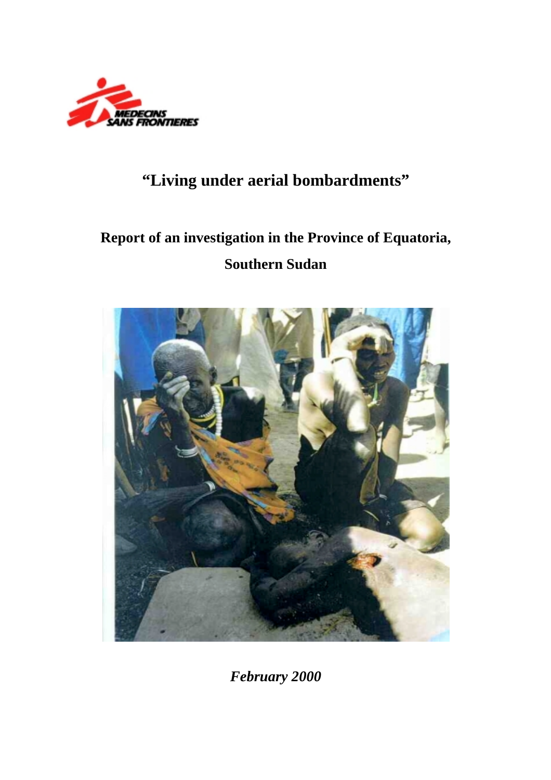

# **"Living under aerial bombardments"**

# **Report of an investigation in the Province of Equatoria, Southern Sudan**



*February 2000*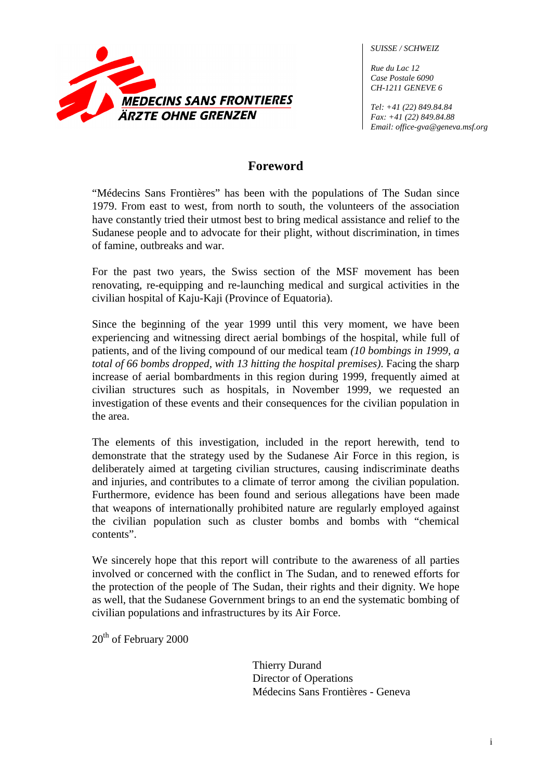

*SUISSE / SCHWEIZ*

*Rue du Lac 12 Case Postale 6090 CH-1211 GENEVE 6*

*Tel: +41 (22) 849.84.84 Fax: +41 (22) 849.84.88 Email: office-gva@geneva.msf.org*

### **Foreword**

"Médecins Sans Frontières" has been with the populations of The Sudan since 1979. From east to west, from north to south, the volunteers of the association have constantly tried their utmost best to bring medical assistance and relief to the Sudanese people and to advocate for their plight, without discrimination, in times of famine, outbreaks and war.

For the past two years, the Swiss section of the MSF movement has been renovating, re-equipping and re-launching medical and surgical activities in the civilian hospital of Kaju-Kaji (Province of Equatoria).

Since the beginning of the year 1999 until this very moment, we have been experiencing and witnessing direct aerial bombings of the hospital, while full of patients, and of the living compound of our medical team *(10 bombings in 1999, a total of 66 bombs dropped, with 13 hitting the hospital premises)*. Facing the sharp increase of aerial bombardments in this region during 1999, frequently aimed at civilian structures such as hospitals, in November 1999, we requested an investigation of these events and their consequences for the civilian population in the area.

The elements of this investigation, included in the report herewith, tend to demonstrate that the strategy used by the Sudanese Air Force in this region, is deliberately aimed at targeting civilian structures, causing indiscriminate deaths and injuries, and contributes to a climate of terror among the civilian population. Furthermore, evidence has been found and serious allegations have been made that weapons of internationally prohibited nature are regularly employed against the civilian population such as cluster bombs and bombs with "chemical contents".

We sincerely hope that this report will contribute to the awareness of all parties involved or concerned with the conflict in The Sudan, and to renewed efforts for the protection of the people of The Sudan, their rights and their dignity. We hope as well, that the Sudanese Government brings to an end the systematic bombing of civilian populations and infrastructures by its Air Force.

20<sup>th</sup> of February 2000

Thierry Durand Director of Operations Médecins Sans Frontières - Geneva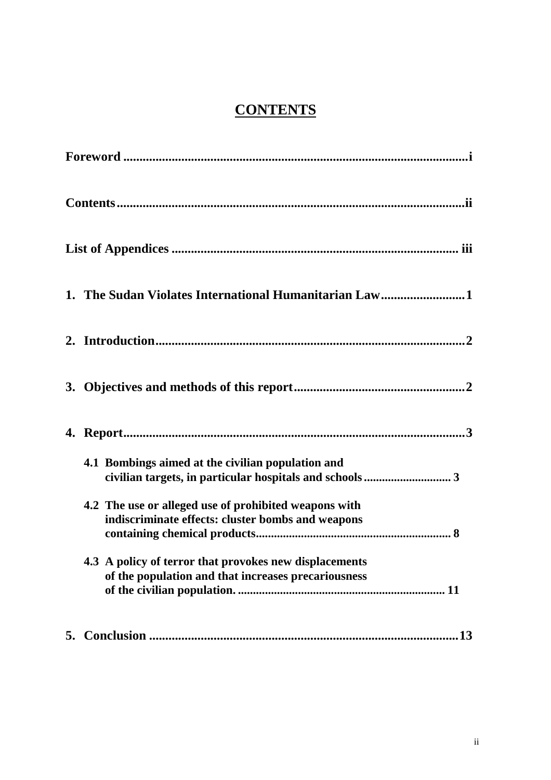# **CONTENTS**

| 1. The Sudan Violates International Humanitarian Law1                                                         |
|---------------------------------------------------------------------------------------------------------------|
|                                                                                                               |
|                                                                                                               |
|                                                                                                               |
| 4.1 Bombings aimed at the civilian population and                                                             |
| 4.2 The use or alleged use of prohibited weapons with<br>indiscriminate effects: cluster bombs and weapons    |
| 4.3 A policy of terror that provokes new displacements<br>of the population and that increases precariousness |
| 13                                                                                                            |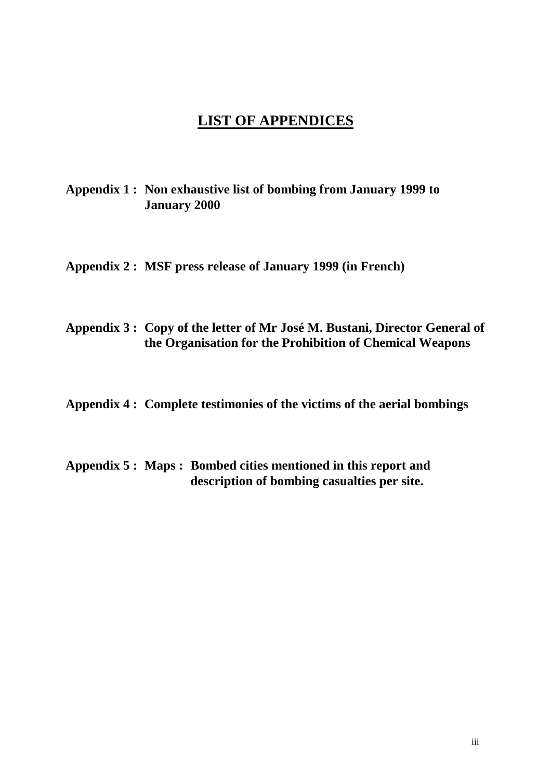# **LIST OF APPENDICES**

# **Appendix 1 : Non exhaustive list of bombing from January 1999 to January 2000**

**Appendix 2 : MSF press release of January 1999 (in French)**

# **Appendix 3 : Copy of the letter of Mr José M. Bustani, Director General of the Organisation for the Prohibition of Chemical Weapons**

**Appendix 4 : Complete testimonies of the victims of the aerial bombings**

**Appendix 5 : Maps : Bombed cities mentioned in this report and description of bombing casualties per site.**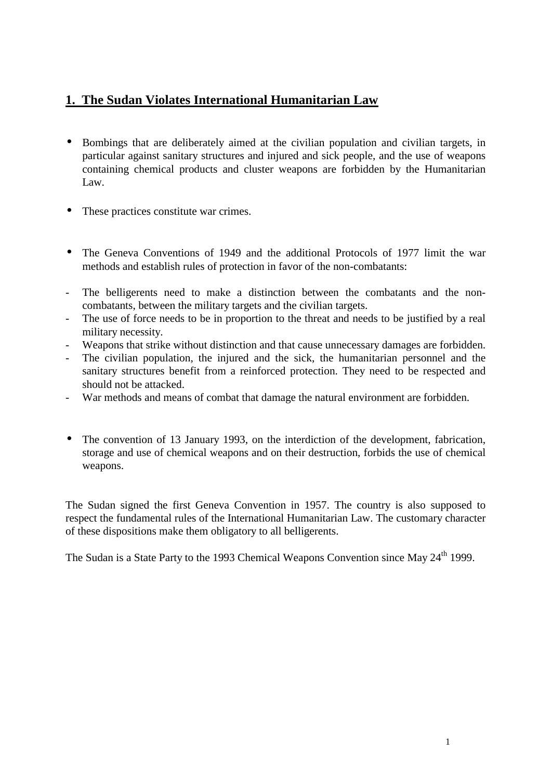# **1. The Sudan Violates International Humanitarian Law**

- Bombings that are deliberately aimed at the civilian population and civilian targets, in particular against sanitary structures and injured and sick people, and the use of weapons containing chemical products and cluster weapons are forbidden by the Humanitarian Law.
- These practices constitute war crimes.
- The Geneva Conventions of 1949 and the additional Protocols of 1977 limit the war methods and establish rules of protection in favor of the non-combatants:
- The belligerents need to make a distinction between the combatants and the noncombatants, between the military targets and the civilian targets.
- The use of force needs to be in proportion to the threat and needs to be justified by a real military necessity.
- Weapons that strike without distinction and that cause unnecessary damages are forbidden.
- The civilian population, the injured and the sick, the humanitarian personnel and the sanitary structures benefit from a reinforced protection. They need to be respected and should not be attacked.
- War methods and means of combat that damage the natural environment are forbidden.
- The convention of 13 January 1993, on the interdiction of the development, fabrication, storage and use of chemical weapons and on their destruction, forbids the use of chemical weapons.

The Sudan signed the first Geneva Convention in 1957. The country is also supposed to respect the fundamental rules of the International Humanitarian Law. The customary character of these dispositions make them obligatory to all belligerents.

The Sudan is a State Party to the 1993 Chemical Weapons Convention since May 24<sup>th</sup> 1999.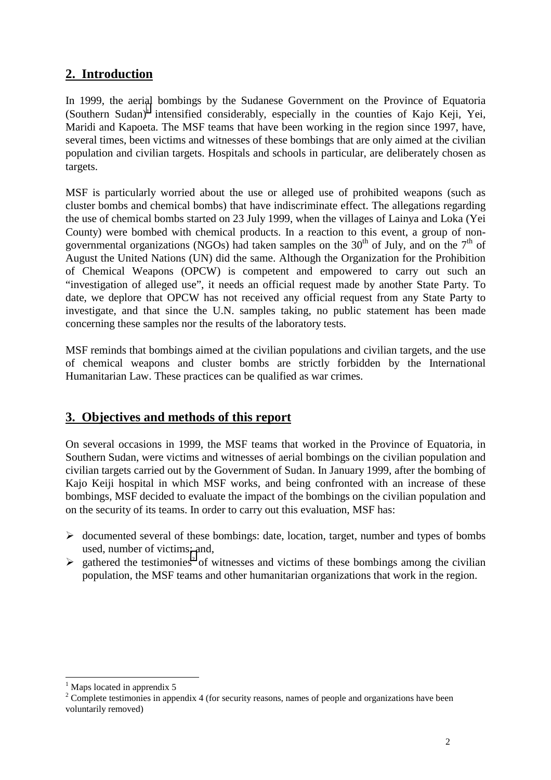# **2. Introduction**

In 1999, the aerial bombings by the Sudanese Government on the Province of Equatoria (Southern Sudan)<sup>1</sup> intensified considerably, especially in the counties of Kajo Keji, Yei, Maridi and Kapoeta. The MSF teams that have been working in the region since 1997, have, several times, been victims and witnesses of these bombings that are only aimed at the civilian population and civilian targets. Hospitals and schools in particular, are deliberately chosen as targets.

MSF is particularly worried about the use or alleged use of prohibited weapons (such as cluster bombs and chemical bombs) that have indiscriminate effect. The allegations regarding the use of chemical bombs started on 23 July 1999, when the villages of Lainya and Loka (Yei County) were bombed with chemical products. In a reaction to this event, a group of nongovernmental organizations (NGOs) had taken samples on the  $30<sup>th</sup>$  of July, and on the  $7<sup>th</sup>$  of August the United Nations (UN) did the same. Although the Organization for the Prohibition of Chemical Weapons (OPCW) is competent and empowered to carry out such an "investigation of alleged use", it needs an official request made by another State Party. To date, we deplore that OPCW has not received any official request from any State Party to investigate, and that since the U.N. samples taking, no public statement has been made concerning these samples nor the results of the laboratory tests.

MSF reminds that bombings aimed at the civilian populations and civilian targets, and the use of chemical weapons and cluster bombs are strictly forbidden by the International Humanitarian Law. These practices can be qualified as war crimes.

# **3. Objectives and methods of this report**

On several occasions in 1999, the MSF teams that worked in the Province of Equatoria, in Southern Sudan, were victims and witnesses of aerial bombings on the civilian population and civilian targets carried out by the Government of Sudan. In January 1999, after the bombing of Kajo Keiji hospital in which MSF works, and being confronted with an increase of these bombings, MSF decided to evaluate the impact of the bombings on the civilian population and on the security of its teams. In order to carry out this evaluation, MSF has:

- $\triangleright$  documented several of these bombings: date, location, target, number and types of bombs used, number of victims; and,
- $\triangleright$  gathered the testimonies<sup>2</sup> of witnesses and victims of these bombings among the civilian population, the MSF teams and other humanitarian organizations that work in the region.

l

<sup>&</sup>lt;sup>1</sup> Maps located in apprendix 5

 $2^2$  Complete testimonies in appendix 4 (for security reasons, names of people and organizations have been voluntarily removed)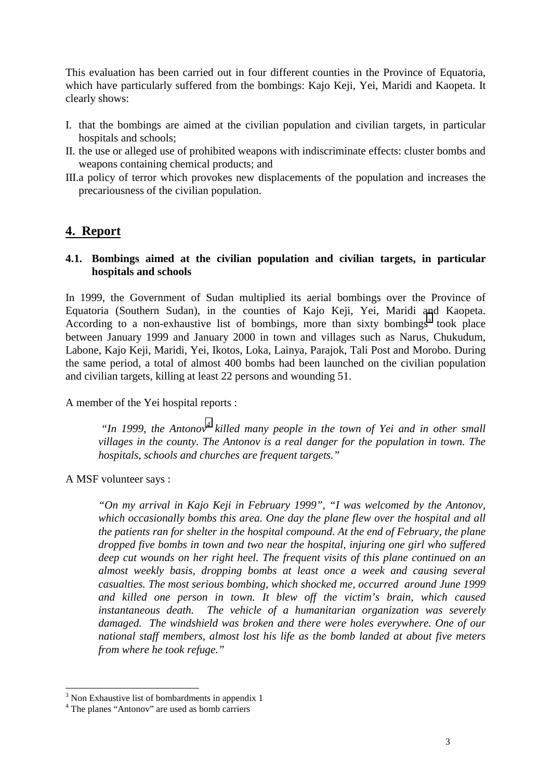This evaluation has been carried out in four different counties in the Province of Equatoria, which have particularly suffered from the bombings: Kajo Keji, Yei, Maridi and Kaopeta. It clearly shows:

- I. that the bombings are aimed at the civilian population and civilian targets, in particular hospitals and schools;
- II. the use or alleged use of prohibited weapons with indiscriminate effects: cluster bombs and weapons containing chemical products; and
- III.a policy of terror which provokes new displacements of the population and increases the precariousness of the civilian population.

### **4. Report**

#### **4.1. Bombings aimed at the civilian population and civilian targets, in particular hospitals and schools**

In 1999, the Government of Sudan multiplied its aerial bombings over the Province of Equatoria (Southern Sudan), in the counties of Kajo Keji, Yei, Maridi and Kaopeta. According to a non-exhaustive list of bombings, more than sixty bombings<sup>3</sup> took place between January 1999 and January 2000 in town and villages such as Narus, Chukudum, Labone, Kajo Keji, Maridi, Yei, Ikotos, Loka, Lainya, Parajok, Tali Post and Morobo. During the same period, a total of almost 400 bombs had been launched on the civilian population and civilian targets, killing at least 22 persons and wounding 51.

A member of the Yei hospital reports :

"In 1999, the Antonov<sup>4</sup> killed many people in the town of Yei and in other small *villages in the county. The Antonov is a real danger for the population in town. The hospitals, schools and churches are frequent targets."*

A MSF volunteer says :

l

*"On my arrival in Kajo Keji in February 1999", "I was welcomed by the Antonov, which occasionally bombs this area. One day the plane flew over the hospital and all the patients ran for shelter in the hospital compound. At the end of February, the plane dropped five bombs in town and two near the hospital, injuring one girl who suffered deep cut wounds on her right heel. The frequent visits of this plane continued on an almost weekly basis, dropping bombs at least once a week and causing several casualties. The most serious bombing, which shocked me, occurred around June 1999 and killed one person in town. It blew off the victim's brain, which caused instantaneous death. The vehicle of a humanitarian organization was severely damaged. The windshield was broken and there were holes everywhere. One of our national staff members, almost lost his life as the bomb landed at about five meters from where he took refuge."*

<sup>&</sup>lt;sup>3</sup> Non Exhaustive list of bombardments in appendix 1

<sup>4</sup> The planes "Antonov" are used as bomb carriers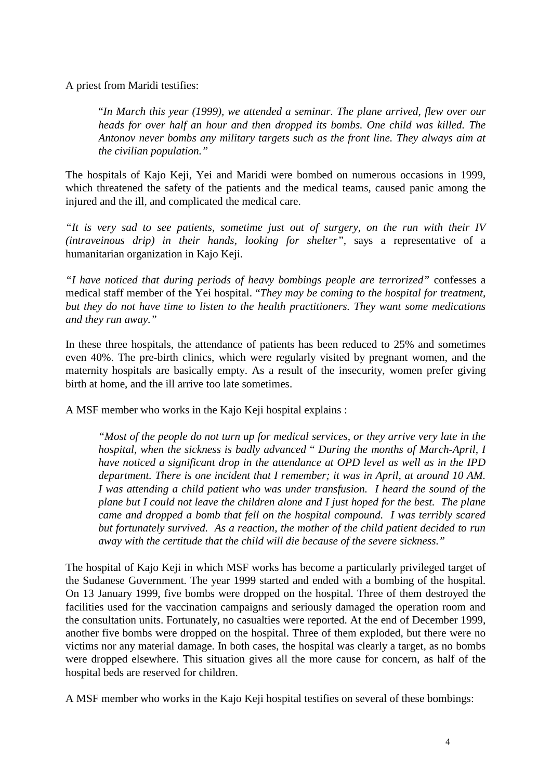A priest from Maridi testifies:

"*In March this year (1999), we attended a seminar. The plane arrived, flew over our heads for over half an hour and then dropped its bombs. One child was killed. The Antonov never bombs any military targets such as the front line. They always aim at the civilian population."*

The hospitals of Kajo Keji, Yei and Maridi were bombed on numerous occasions in 1999, which threatened the safety of the patients and the medical teams, caused panic among the injured and the ill, and complicated the medical care.

*"It is very sad to see patients, sometime just out of surgery, on the run with their IV (intraveinous drip) in their hands, looking for shelter",* says a representative of a humanitarian organization in Kajo Keji.

*"I have noticed that during periods of heavy bombings people are terrorized"* confesses a medical staff member of the Yei hospital. "*They may be coming to the hospital for treatment, but they do not have time to listen to the health practitioners. They want some medications and they run away."*

In these three hospitals, the attendance of patients has been reduced to 25% and sometimes even 40%. The pre-birth clinics, which were regularly visited by pregnant women, and the maternity hospitals are basically empty. As a result of the insecurity, women prefer giving birth at home, and the ill arrive too late sometimes.

A MSF member who works in the Kajo Keji hospital explains :

*"Most of the people do not turn up for medical services, or they arrive very late in the hospital, when the sickness is badly advanced* " *During the months of March-April, I have noticed a significant drop in the attendance at OPD level as well as in the IPD department. There is one incident that I remember; it was in April, at around 10 AM. I was attending a child patient who was under transfusion. I heard the sound of the plane but I could not leave the children alone and I just hoped for the best. The plane came and dropped a bomb that fell on the hospital compound. I was terribly scared but fortunately survived. As a reaction, the mother of the child patient decided to run away with the certitude that the child will die because of the severe sickness."*

The hospital of Kajo Keji in which MSF works has become a particularly privileged target of the Sudanese Government. The year 1999 started and ended with a bombing of the hospital. On 13 January 1999, five bombs were dropped on the hospital. Three of them destroyed the facilities used for the vaccination campaigns and seriously damaged the operation room and the consultation units. Fortunately, no casualties were reported. At the end of December 1999, another five bombs were dropped on the hospital. Three of them exploded, but there were no victims nor any material damage. In both cases, the hospital was clearly a target, as no bombs were dropped elsewhere. This situation gives all the more cause for concern, as half of the hospital beds are reserved for children.

A MSF member who works in the Kajo Keji hospital testifies on several of these bombings: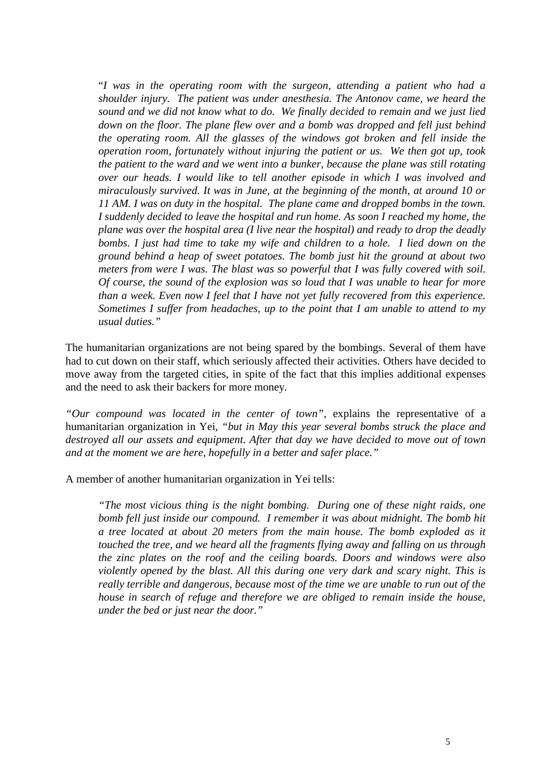"*I was in the operating room with the surgeon, attending a patient who had a shoulder injury. The patient was under anesthesia. The Antonov came, we heard the sound and we did not know what to do. We finally decided to remain and we just lied down on the floor. The plane flew over and a bomb was dropped and fell just behind the operating room. All the glasses of the windows got broken and fell inside the operation room, fortunately without injuring the patient or us. We then got up, took the patient to the ward and we went into a bunker, because the plane was still rotating over our heads. I would like to tell another episode in which I was involved and miraculously survived. It was in June, at the beginning of the month, at around 10 or 11 AM. I was on duty in the hospital. The plane came and dropped bombs in the town. I suddenly decided to leave the hospital and run home. As soon I reached my home, the plane was over the hospital area (I live near the hospital) and ready to drop the deadly bombs. I just had time to take my wife and children to a hole. I lied down on the ground behind a heap of sweet potatoes. The bomb just hit the ground at about two meters from were I was. The blast was so powerful that I was fully covered with soil. Of course, the sound of the explosion was so loud that I was unable to hear for more than a week. Even now I feel that I have not yet fully recovered from this experience. Sometimes I suffer from headaches, up to the point that I am unable to attend to my usual duties."*

The humanitarian organizations are not being spared by the bombings. Several of them have had to cut down on their staff, which seriously affected their activities. Others have decided to move away from the targeted cities, in spite of the fact that this implies additional expenses and the need to ask their backers for more money.

*"Our compound was located in the center of town",* explains the representative of a humanitarian organization in Yei, *"but in May this year several bombs struck the place and destroyed all our assets and equipment. After that day we have decided to move out of town and at the moment we are here, hopefully in a better and safer place."*

A member of another humanitarian organization in Yei tells:

*"The most vicious thing is the night bombing. During one of these night raids, one bomb fell just inside our compound. I remember it was about midnight. The bomb hit a tree located at about 20 meters from the main house. The bomb exploded as it touched the tree, and we heard all the fragments flying away and falling on us through the zinc plates on the roof and the ceiling boards. Doors and windows were also violently opened by the blast. All this during one very dark and scary night. This is really terrible and dangerous, because most of the time we are unable to run out of the house in search of refuge and therefore we are obliged to remain inside the house, under the bed or just near the door."*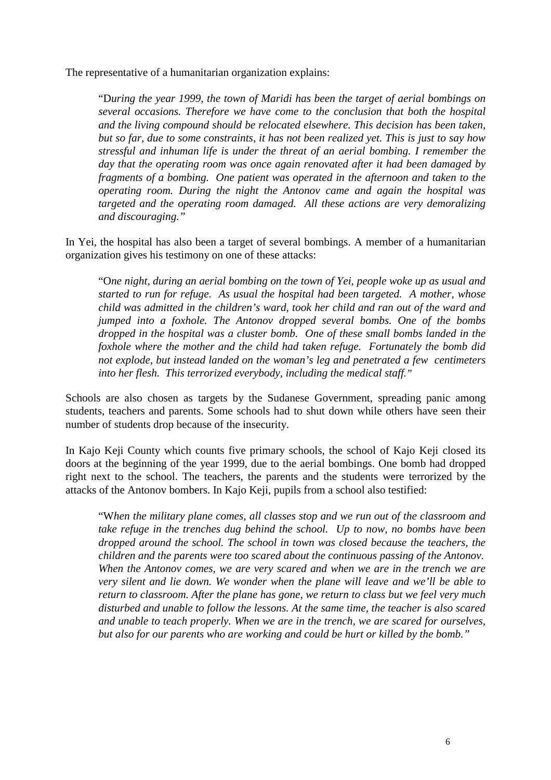The representative of a humanitarian organization explains:

"D*uring the year 1999, the town of Maridi has been the target of aerial bombings on several occasions. Therefore we have come to the conclusion that both the hospital and the living compound should be relocated elsewhere. This decision has been taken, but so far, due to some constraints, it has not been realized yet. This is just to say how stressful and inhuman life is under the threat of an aerial bombing. I remember the day that the operating room was once again renovated after it had been damaged by fragments of a bombing. One patient was operated in the afternoon and taken to the operating room. During the night the Antonov came and again the hospital was targeted and the operating room damaged. All these actions are very demoralizing and discouraging."*

In Yei, the hospital has also been a target of several bombings. A member of a humanitarian organization gives his testimony on one of these attacks:

"O*ne night, during an aerial bombing on the town of Yei, people woke up as usual and started to run for refuge. As usual the hospital had been targeted. A mother, whose child was admitted in the children's ward, took her child and ran out of the ward and jumped into a foxhole. The Antonov dropped several bombs. One of the bombs dropped in the hospital was a cluster bomb. One of these small bombs landed in the foxhole where the mother and the child had taken refuge. Fortunately the bomb did not explode, but instead landed on the woman's leg and penetrated a few centimeters into her flesh. This terrorized everybody, including the medical staff."*

Schools are also chosen as targets by the Sudanese Government, spreading panic among students, teachers and parents. Some schools had to shut down while others have seen their number of students drop because of the insecurity.

In Kajo Keji County which counts five primary schools, the school of Kajo Keji closed its doors at the beginning of the year 1999, due to the aerial bombings. One bomb had dropped right next to the school. The teachers, the parents and the students were terrorized by the attacks of the Antonov bombers. In Kajo Keji, pupils from a school also testified:

"W*hen the military plane comes, all classes stop and we run out of the classroom and take refuge in the trenches dug behind the school. Up to now, no bombs have been dropped around the school. The school in town was closed because the teachers, the children and the parents were too scared about the continuous passing of the Antonov. When the Antonov comes, we are very scared and when we are in the trench we are very silent and lie down. We wonder when the plane will leave and we'll be able to return to classroom. After the plane has gone, we return to class but we feel very much disturbed and unable to follow the lessons. At the same time, the teacher is also scared and unable to teach properly. When we are in the trench, we are scared for ourselves, but also for our parents who are working and could be hurt or killed by the bomb."*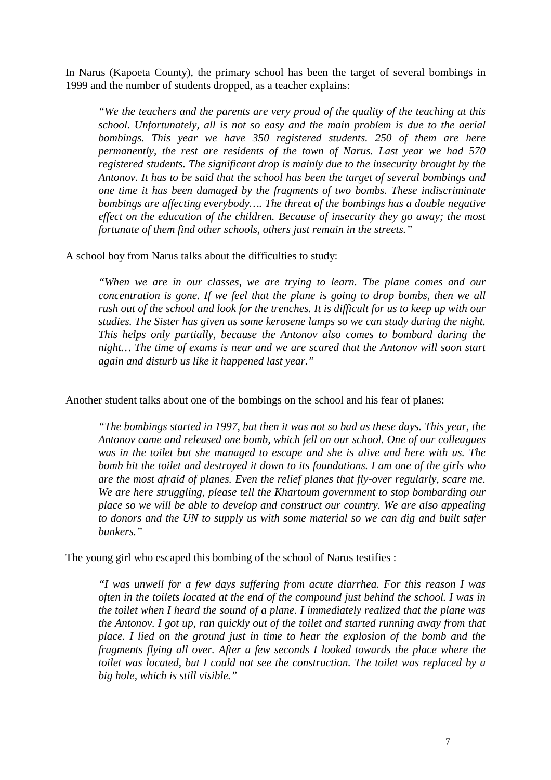In Narus (Kapoeta County), the primary school has been the target of several bombings in 1999 and the number of students dropped, as a teacher explains:

*"We the teachers and the parents are very proud of the quality of the teaching at this school. Unfortunately, all is not so easy and the main problem is due to the aerial bombings. This year we have 350 registered students. 250 of them are here permanently, the rest are residents of the town of Narus. Last year we had 570 registered students. The significant drop is mainly due to the insecurity brought by the Antonov. It has to be said that the school has been the target of several bombings and one time it has been damaged by the fragments of two bombs. These indiscriminate bombings are affecting everybody…. The threat of the bombings has a double negative effect on the education of the children. Because of insecurity they go away; the most fortunate of them find other schools, others just remain in the streets."*

A school boy from Narus talks about the difficulties to study:

*"When we are in our classes, we are trying to learn. The plane comes and our concentration is gone. If we feel that the plane is going to drop bombs, then we all rush out of the school and look for the trenches. It is difficult for us to keep up with our studies. The Sister has given us some kerosene lamps so we can study during the night. This helps only partially, because the Antonov also comes to bombard during the night… The time of exams is near and we are scared that the Antonov will soon start again and disturb us like it happened last year."*

Another student talks about one of the bombings on the school and his fear of planes:

*"The bombings started in 1997, but then it was not so bad as these days. This year, the Antonov came and released one bomb, which fell on our school. One of our colleagues was in the toilet but she managed to escape and she is alive and here with us. The bomb hit the toilet and destroyed it down to its foundations. I am one of the girls who are the most afraid of planes. Even the relief planes that fly-over regularly, scare me. We are here struggling, please tell the Khartoum government to stop bombarding our place so we will be able to develop and construct our country. We are also appealing to donors and the UN to supply us with some material so we can dig and built safer bunkers."*

The young girl who escaped this bombing of the school of Narus testifies :

*"I was unwell for a few days suffering from acute diarrhea. For this reason I was often in the toilets located at the end of the compound just behind the school. I was in the toilet when I heard the sound of a plane. I immediately realized that the plane was the Antonov. I got up, ran quickly out of the toilet and started running away from that place. I lied on the ground just in time to hear the explosion of the bomb and the fragments flying all over. After a few seconds I looked towards the place where the toilet was located, but I could not see the construction. The toilet was replaced by a big hole, which is still visible."*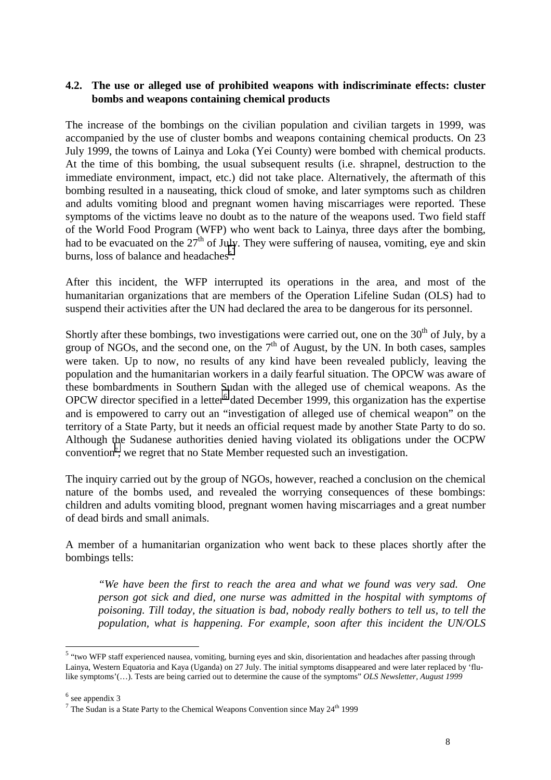#### **4.2. The use or alleged use of prohibited weapons with indiscriminate effects: cluster bombs and weapons containing chemical products**

The increase of the bombings on the civilian population and civilian targets in 1999, was accompanied by the use of cluster bombs and weapons containing chemical products. On 23 July 1999, the towns of Lainya and Loka (Yei County) were bombed with chemical products. At the time of this bombing, the usual subsequent results (i.e. shrapnel, destruction to the immediate environment, impact, etc.) did not take place. Alternatively, the aftermath of this bombing resulted in a nauseating, thick cloud of smoke, and later symptoms such as children and adults vomiting blood and pregnant women having miscarriages were reported. These symptoms of the victims leave no doubt as to the nature of the weapons used. Two field staff of the World Food Program (WFP) who went back to Lainya, three days after the bombing, had to be evacuated on the  $27<sup>th</sup>$  of July. They were suffering of nausea, vomiting, eye and skin burns, loss of balance and headaches<sup>5</sup>.

After this incident, the WFP interrupted its operations in the area, and most of the humanitarian organizations that are members of the Operation Lifeline Sudan (OLS) had to suspend their activities after the UN had declared the area to be dangerous for its personnel.

Shortly after these bombings, two investigations were carried out, one on the  $30<sup>th</sup>$  of July, by a group of NGOs, and the second one, on the  $7<sup>th</sup>$  of August, by the UN. In both cases, samples were taken. Up to now, no results of any kind have been revealed publicly, leaving the population and the humanitarian workers in a daily fearful situation. The OPCW was aware of these bombardments in Southern Sudan with the alleged use of chemical weapons. As the OPCW director specified in a letter<sup>6</sup> dated December 1999, this organization has the expertise and is empowered to carry out an "investigation of alleged use of chemical weapon" on the territory of a State Party, but it needs an official request made by another State Party to do so. Although the Sudanese authorities denied having violated its obligations under the OCPW convention<sup>7</sup>, we regret that no State Member requested such an investigation.

The inquiry carried out by the group of NGOs, however, reached a conclusion on the chemical nature of the bombs used, and revealed the worrying consequences of these bombings: children and adults vomiting blood, pregnant women having miscarriages and a great number of dead birds and small animals.

A member of a humanitarian organization who went back to these places shortly after the bombings tells:

*"We have been the first to reach the area and what we found was very sad. One person got sick and died, one nurse was admitted in the hospital with symptoms of poisoning. Till today, the situation is bad, nobody really bothers to tell us, to tell the population, what is happening. For example, soon after this incident the UN/OLS*

 $<sup>6</sup>$  see appendix 3</sup>

l

<sup>&</sup>lt;sup>5</sup> "two WFP staff experienced nausea, vomiting, burning eyes and skin, disorientation and headaches after passing through Lainya, Western Equatoria and Kaya (Uganda) on 27 July. The initial symptoms disappeared and were later replaced by 'flulike symptoms'(…). Tests are being carried out to determine the cause of the symptoms" *OLS Newsletter, August 1999*

 $<sup>7</sup>$  The Sudan is a State Party to the Chemical Weapons Convention since May 24<sup>th</sup> 1999</sup>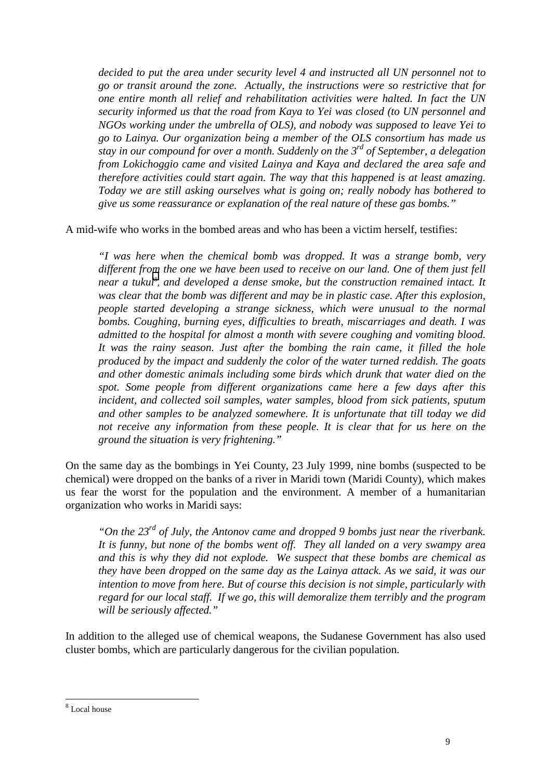*decided to put the area under security level 4 and instructed all UN personnel not to go or transit around the zone. Actually, the instructions were so restrictive that for one entire month all relief and rehabilitation activities were halted. In fact the UN security informed us that the road from Kaya to Yei was closed (to UN personnel and NGOs working under the umbrella of OLS), and nobody was supposed to leave Yei to go to Lainya. Our organization being a member of the OLS consortium has made us stay in our compound for over a month. Suddenly on the 3rd of September, a delegation from Lokichoggio came and visited Lainya and Kaya and declared the area safe and therefore activities could start again. The way that this happened is at least amazing. Today we are still asking ourselves what is going on; really nobody has bothered to give us some reassurance or explanation of the real nature of these gas bombs."*

A mid-wife who works in the bombed areas and who has been a victim herself, testifies:

*"I was here when the chemical bomb was dropped. It was a strange bomb, very different from the one we have been used to receive on our land. One of them just fell* near a tukul<sup>8</sup>, and developed a dense smoke, but the construction remained intact. It *was clear that the bomb was different and may be in plastic case. After this explosion, people started developing a strange sickness, which were unusual to the normal bombs. Coughing, burning eyes, difficulties to breath, miscarriages and death. I was admitted to the hospital for almost a month with severe coughing and vomiting blood. It was the rainy season. Just after the bombing the rain came, it filled the hole produced by the impact and suddenly the color of the water turned reddish. The goats and other domestic animals including some birds which drunk that water died on the spot. Some people from different organizations came here a few days after this incident, and collected soil samples, water samples, blood from sick patients, sputum and other samples to be analyzed somewhere. It is unfortunate that till today we did not receive any information from these people. It is clear that for us here on the ground the situation is very frightening."*

On the same day as the bombings in Yei County, 23 July 1999, nine bombs (suspected to be chemical) were dropped on the banks of a river in Maridi town (Maridi County), which makes us fear the worst for the population and the environment. A member of a humanitarian organization who works in Maridi says:

*"On the 23rd of July, the Antonov came and dropped 9 bombs just near the riverbank. It is funny, but none of the bombs went off. They all landed on a very swampy area and this is why they did not explode. We suspect that these bombs are chemical as they have been dropped on the same day as the Lainya attack. As we said, it was our intention to move from here. But of course this decision is not simple, particularly with regard for our local staff. If we go, this will demoralize them terribly and the program will be seriously affected."*

In addition to the alleged use of chemical weapons, the Sudanese Government has also used cluster bombs, which are particularly dangerous for the civilian population.

l

<sup>8</sup> Local house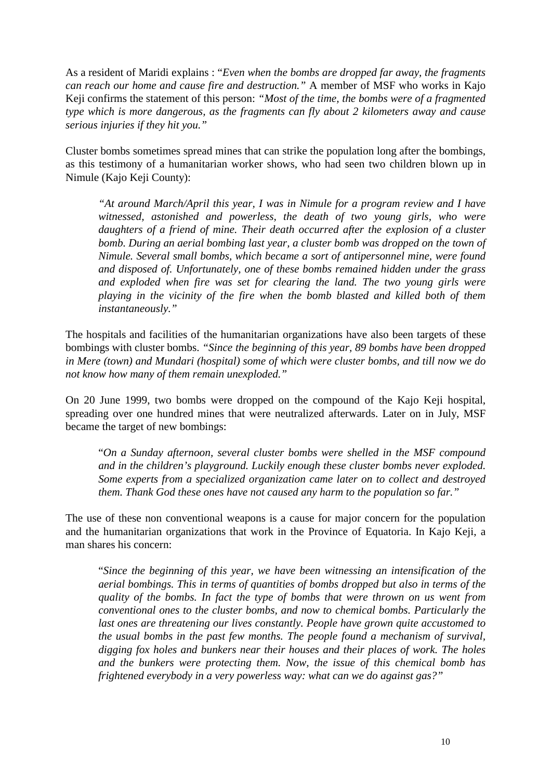As a resident of Maridi explains : "*Even when the bombs are dropped far away, the fragments can reach our home and cause fire and destruction."* A member of MSF who works in Kajo Keji confirms the statement of this person: *"Most of the time, the bombs were of a fragmented type which is more dangerous, as the fragments can fly about 2 kilometers away and cause serious injuries if they hit you."*

Cluster bombs sometimes spread mines that can strike the population long after the bombings, as this testimony of a humanitarian worker shows, who had seen two children blown up in Nimule (Kajo Keji County):

*"At around March/April this year, I was in Nimule for a program review and I have witnessed, astonished and powerless, the death of two young girls, who were daughters of a friend of mine. Their death occurred after the explosion of a cluster bomb. During an aerial bombing last year, a cluster bomb was dropped on the town of Nimule. Several small bombs, which became a sort of antipersonnel mine, were found and disposed of. Unfortunately, one of these bombs remained hidden under the grass and exploded when fire was set for clearing the land. The two young girls were playing in the vicinity of the fire when the bomb blasted and killed both of them instantaneously."*

The hospitals and facilities of the humanitarian organizations have also been targets of these bombings with cluster bombs. *"Since the beginning of this year, 89 bombs have been dropped in Mere (town) and Mundari (hospital) some of which were cluster bombs, and till now we do not know how many of them remain unexploded."*

On 20 June 1999, two bombs were dropped on the compound of the Kajo Keji hospital, spreading over one hundred mines that were neutralized afterwards. Later on in July, MSF became the target of new bombings:

"*On a Sunday afternoon, several cluster bombs were shelled in the MSF compound and in the children's playground. Luckily enough these cluster bombs never exploded. Some experts from a specialized organization came later on to collect and destroyed them. Thank God these ones have not caused any harm to the population so far."*

The use of these non conventional weapons is a cause for major concern for the population and the humanitarian organizations that work in the Province of Equatoria. In Kajo Keji, a man shares his concern:

"*Since the beginning of this year, we have been witnessing an intensification of the aerial bombings. This in terms of quantities of bombs dropped but also in terms of the quality of the bombs. In fact the type of bombs that were thrown on us went from conventional ones to the cluster bombs, and now to chemical bombs. Particularly the last ones are threatening our lives constantly. People have grown quite accustomed to the usual bombs in the past few months. The people found a mechanism of survival, digging fox holes and bunkers near their houses and their places of work. The holes and the bunkers were protecting them. Now, the issue of this chemical bomb has frightened everybody in a very powerless way: what can we do against gas?"*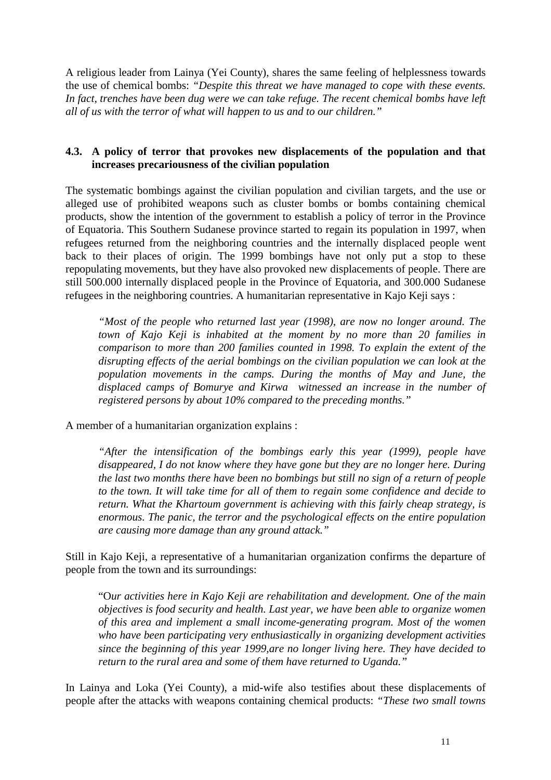A religious leader from Lainya (Yei County), shares the same feeling of helplessness towards the use of chemical bombs: *"Despite this threat we have managed to cope with these events. In fact, trenches have been dug were we can take refuge. The recent chemical bombs have left all of us with the terror of what will happen to us and to our children."*

### **4.3. A policy of terror that provokes new displacements of the population and that increases precariousness of the civilian population**

The systematic bombings against the civilian population and civilian targets, and the use or alleged use of prohibited weapons such as cluster bombs or bombs containing chemical products, show the intention of the government to establish a policy of terror in the Province of Equatoria. This Southern Sudanese province started to regain its population in 1997, when refugees returned from the neighboring countries and the internally displaced people went back to their places of origin. The 1999 bombings have not only put a stop to these repopulating movements, but they have also provoked new displacements of people. There are still 500.000 internally displaced people in the Province of Equatoria, and 300.000 Sudanese refugees in the neighboring countries. A humanitarian representative in Kajo Keji says :

*"Most of the people who returned last year (1998), are now no longer around. The town of Kajo Keji is inhabited at the moment by no more than 20 families in comparison to more than 200 families counted in 1998. To explain the extent of the disrupting effects of the aerial bombings on the civilian population we can look at the population movements in the camps. During the months of May and June, the displaced camps of Bomurye and Kirwa witnessed an increase in the number of registered persons by about 10% compared to the preceding months."*

A member of a humanitarian organization explains :

*"After the intensification of the bombings early this year (1999), people have disappeared, I do not know where they have gone but they are no longer here. During the last two months there have been no bombings but still no sign of a return of people to the town. It will take time for all of them to regain some confidence and decide to return. What the Khartoum government is achieving with this fairly cheap strategy, is enormous. The panic, the terror and the psychological effects on the entire population are causing more damage than any ground attack."*

Still in Kajo Keji, a representative of a humanitarian organization confirms the departure of people from the town and its surroundings:

"O*ur activities here in Kajo Keji are rehabilitation and development. One of the main objectives is food security and health. Last year, we have been able to organize women of this area and implement a small income-generating program. Most of the women who have been participating very enthusiastically in organizing development activities since the beginning of this year 1999,are no longer living here. They have decided to return to the rural area and some of them have returned to Uganda."*

In Lainya and Loka (Yei County), a mid-wife also testifies about these displacements of people after the attacks with weapons containing chemical products: *"These two small towns*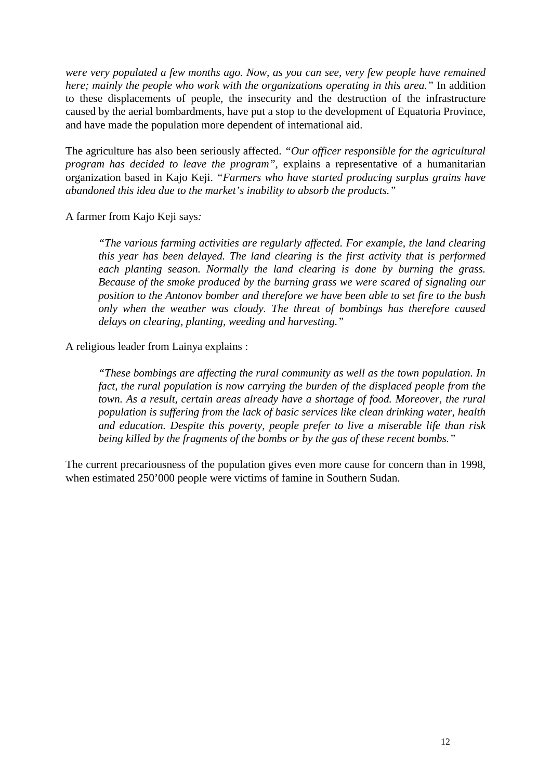*were very populated a few months ago. Now, as you can see, very few people have remained here; mainly the people who work with the organizations operating in this area.*" In addition to these displacements of people, the insecurity and the destruction of the infrastructure caused by the aerial bombardments, have put a stop to the development of Equatoria Province, and have made the population more dependent of international aid.

The agriculture has also been seriously affected. *"Our officer responsible for the agricultural program has decided to leave the program",* explains a representative of a humanitarian organization based in Kajo Keji. *"Farmers who have started producing surplus grains have abandoned this idea due to the market's inability to absorb the products."*

A farmer from Kajo Keji says*:*

*"The various farming activities are regularly affected. For example, the land clearing this year has been delayed. The land clearing is the first activity that is performed each planting season. Normally the land clearing is done by burning the grass. Because of the smoke produced by the burning grass we were scared of signaling our position to the Antonov bomber and therefore we have been able to set fire to the bush only when the weather was cloudy. The threat of bombings has therefore caused delays on clearing, planting, weeding and harvesting."*

A religious leader from Lainya explains :

*"These bombings are affecting the rural community as well as the town population. In fact, the rural population is now carrying the burden of the displaced people from the town. As a result, certain areas already have a shortage of food. Moreover, the rural population is suffering from the lack of basic services like clean drinking water, health and education. Despite this poverty, people prefer to live a miserable life than risk being killed by the fragments of the bombs or by the gas of these recent bombs."*

The current precariousness of the population gives even more cause for concern than in 1998, when estimated 250'000 people were victims of famine in Southern Sudan.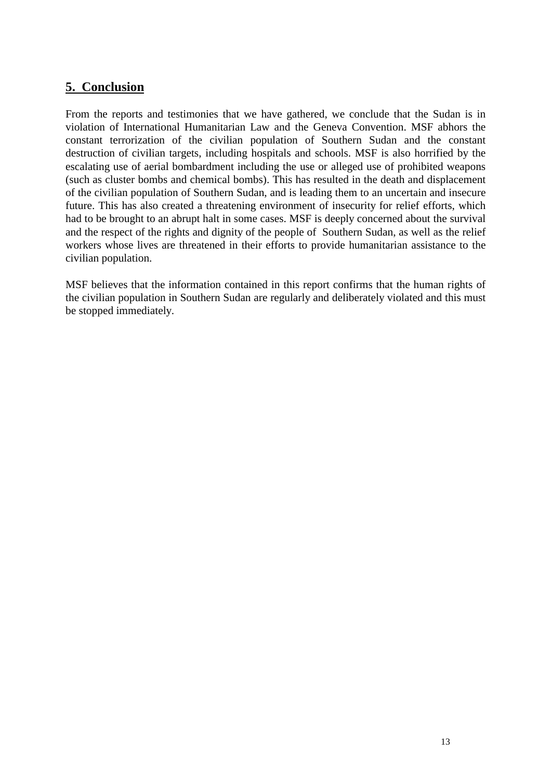# **5. Conclusion**

From the reports and testimonies that we have gathered, we conclude that the Sudan is in violation of International Humanitarian Law and the Geneva Convention. MSF abhors the constant terrorization of the civilian population of Southern Sudan and the constant destruction of civilian targets, including hospitals and schools. MSF is also horrified by the escalating use of aerial bombardment including the use or alleged use of prohibited weapons (such as cluster bombs and chemical bombs). This has resulted in the death and displacement of the civilian population of Southern Sudan, and is leading them to an uncertain and insecure future. This has also created a threatening environment of insecurity for relief efforts, which had to be brought to an abrupt halt in some cases. MSF is deeply concerned about the survival and the respect of the rights and dignity of the people of Southern Sudan, as well as the relief workers whose lives are threatened in their efforts to provide humanitarian assistance to the civilian population.

MSF believes that the information contained in this report confirms that the human rights of the civilian population in Southern Sudan are regularly and deliberately violated and this must be stopped immediately.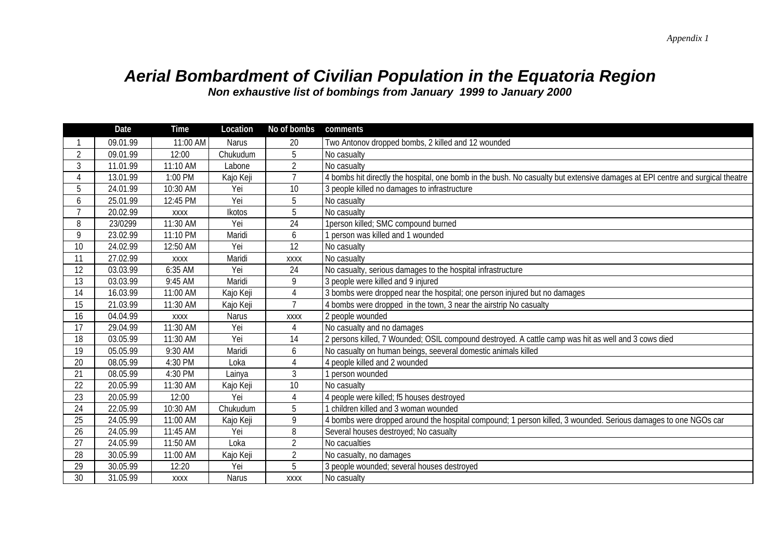# *Aerial Bombardment of Civilian Population in the Equatoria Region*

*Non exhaustive list of bombings from January 1999 to January 2000*

|                | <b>Date</b> | <b>Time</b> | Location      | No of bombs    | comments                                                                                                                      |
|----------------|-------------|-------------|---------------|----------------|-------------------------------------------------------------------------------------------------------------------------------|
|                | 09.01.99    | 11:00 AM    | <b>Narus</b>  | 20             | Two Antonov dropped bombs, 2 killed and 12 wounded                                                                            |
| $\overline{2}$ | 09.01.99    | 12:00       | Chukudum      | 5              | No casualty                                                                                                                   |
| 3              | 11.01.99    | 11:10 AM    | Labone        | $\overline{2}$ | No casualty                                                                                                                   |
|                | 13.01.99    | 1:00 PM     | Kajo Keji     | $\overline{7}$ | 4 bombs hit directly the hospital, one bomb in the bush. No casualty but extensive damages at EPI centre and surgical theatre |
| 5              | 24.01.99    | 10:30 AM    | Yei           | 10             | 3 people killed no damages to infrastructure                                                                                  |
| 6              | 25.01.99    | 12:45 PM    | Yei           | 5              | No casualty                                                                                                                   |
|                | 20.02.99    | XXXX        | <b>Ikotos</b> | 5              | No casualty                                                                                                                   |
| 8              | 23/0299     | 11:30 AM    | Yei           | 24             | 1person killed; SMC compound burned                                                                                           |
| 9              | 23.02.99    | 11:10 PM    | Maridi        | 6              | person was killed and 1 wounded                                                                                               |
| 10             | 24.02.99    | 12:50 AM    | Yei           | 12             | No casualty                                                                                                                   |
| 11             | 27.02.99    | XXXX        | Maridi        | <b>XXXX</b>    | No casualty                                                                                                                   |
| 12             | 03.03.99    | 6:35 AM     | Yei           | 24             | No casualty, serious damages to the hospital infrastructure                                                                   |
| 13             | 03.03.99    | 9:45 AM     | Maridi        | 9              | 3 people were killed and 9 injured                                                                                            |
| 14             | 16.03.99    | 11:00 AM    | Kajo Keji     | $\overline{4}$ | 3 bombs were dropped near the hospital; one person injured but no damages                                                     |
| 15             | 21.03.99    | 11:30 AM    | Kajo Keji     | $\overline{7}$ | 4 bombs were dropped in the town, 3 near the airstrip No casualty                                                             |
| 16             | 04.04.99    | XXXX        | <b>Narus</b>  | XXXX           | 2 people wounded                                                                                                              |
| 17             | 29.04.99    | 11:30 AM    | Yei           | 4              | No casualty and no damages                                                                                                    |
| 18             | 03.05.99    | 11:30 AM    | Yei           | 14             | 2 persons killed, 7 Wounded; OSIL compound destroyed. A cattle camp was hit as well and 3 cows died                           |
| 19             | 05.05.99    | 9:30 AM     | Maridi        | 6              | No casualty on human beings, seeveral domestic animals killed                                                                 |
| 20             | 08.05.99    | 4:30 PM     | Loka          |                | 4 people killed and 2 wounded                                                                                                 |
| 21             | 08.05.99    | 4:30 PM     | Lainya        | $\mathfrak{Z}$ | person wounded                                                                                                                |
| 22             | 20.05.99    | 11:30 AM    | Kajo Keji     | 10             | No casualty                                                                                                                   |
| 23             | 20.05.99    | 12:00       | Yei           | $\overline{4}$ | 4 people were killed; f5 houses destroyed                                                                                     |
| 24             | 22.05.99    | 10:30 AM    | Chukudum      | 5              | children killed and 3 woman wounded                                                                                           |
| 25             | 24.05.99    | 11:00 AM    | Kajo Keji     | 9              | 4 bombs were dropped around the hospital compound; 1 person killed, 3 wounded. Serious damages to one NGOs car                |
| 26             | 24.05.99    | 11:45 AM    | Yei           | 8              | Several houses destroyed; No casualty                                                                                         |
| 27             | 24.05.99    | 11:50 AM    | Loka          | $\overline{2}$ | No cacualties                                                                                                                 |
| 28             | 30.05.99    | 11:00 AM    | Kajo Keji     | $\overline{2}$ | No casualty, no damages                                                                                                       |
| 29             | 30.05.99    | 12:20       | Yei           | 5              | 3 people wounded; several houses destroyed                                                                                    |
| 30             | 31.05.99    | XXXX        | <b>Narus</b>  | XXXX           | No casualty                                                                                                                   |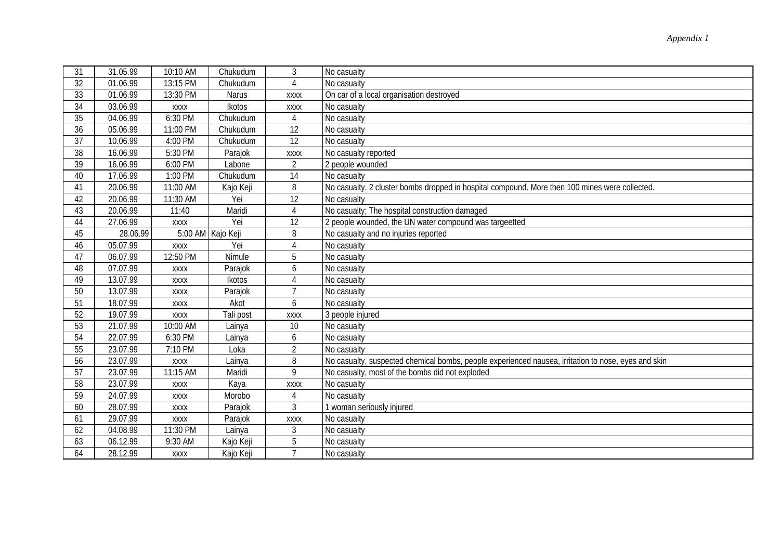| 31 | 31.05.99 | 10:10 AM    | Chukudum          | 3               | No casualty                                                                                         |
|----|----------|-------------|-------------------|-----------------|-----------------------------------------------------------------------------------------------------|
| 32 | 01.06.99 | 13:15 PM    | Chukudum          | 4               | No casualty                                                                                         |
| 33 | 01.06.99 | 13:30 PM    | <b>Narus</b>      | XXXX            | On car of a local organisation destroyed                                                            |
| 34 | 03.06.99 | XXXX        | Ikotos            | XXXX            | No casualty                                                                                         |
| 35 | 04.06.99 | 6:30 PM     | Chukudum          | 4               | No casualty                                                                                         |
| 36 | 05.06.99 | 11:00 PM    | Chukudum          | 12              | No casualty                                                                                         |
| 37 | 10.06.99 | 4:00 PM     | Chukudum          | $\overline{12}$ | No casualty                                                                                         |
| 38 | 16.06.99 | 5:30 PM     | Parajok           | XXXX            | No casualty reported                                                                                |
| 39 | 16.06.99 | 6:00 PM     | Labone            | $\overline{2}$  | 2 people wounded                                                                                    |
| 40 | 17.06.99 | 1:00 PM     | Chukudum          | 14              | No casualty                                                                                         |
| 41 | 20.06.99 | 11:00 AM    | Kajo Keji         | 8               | No casualty. 2 cluster bombs dropped in hospital compound. More then 100 mines were collected.      |
| 42 | 20.06.99 | 11:30 AM    | Yei               | 12              | No casualty                                                                                         |
| 43 | 20.06.99 | 11:40       | Maridi            | $\overline{4}$  | No casualty; The hospital construction damaged                                                      |
| 44 | 27.06.99 | XXXX        | Yei               | 12              | 2 people wounded, the UN water compound was targeetted                                              |
| 45 | 28.06.99 |             | 5:00 AM Kajo Keji | 8               | No casualty and no injuries reported                                                                |
| 46 | 05.07.99 | <b>XXXX</b> | Yei               | 4               | No casualty                                                                                         |
| 47 | 06.07.99 | 12:50 PM    | Nimule            | 5               | No casualty                                                                                         |
| 48 | 07.07.99 | XXXX        | Parajok           | 6               | No casualty                                                                                         |
| 49 | 13.07.99 | XXXX        | Ikotos            | 4               | No casualty                                                                                         |
| 50 | 13.07.99 | XXXX        | Parajok           |                 | No casualty                                                                                         |
| 51 | 18.07.99 | XXXX        | Akot              | 6               | No casualty                                                                                         |
| 52 | 19.07.99 | XXXX        | Tali post         | XXXX            | 3 people injured                                                                                    |
| 53 | 21.07.99 | 10:00 AM    | Lainya            | 10              | No casualty                                                                                         |
| 54 | 22.07.99 | 6:30 PM     | Lainya            | 6               | No casualty                                                                                         |
| 55 | 23.07.99 | 7:10 PM     | Loka              | $\overline{2}$  | No casualty                                                                                         |
| 56 | 23.07.99 | XXXX        | Lainya            | 8               | No casualty, suspected chemical bombs, people experienced nausea, irritation to nose, eyes and skin |
| 57 | 23.07.99 | 11:15 AM    | Maridi            | 9               | No casualty, most of the bombs did not exploded                                                     |
| 58 | 23.07.99 | XXXX        | Kaya              | XXXX            | No casualty                                                                                         |
| 59 | 24.07.99 | XXXX        | Morobo            | 4               | No casualty                                                                                         |
| 60 | 28.07.99 | XXXX        | Parajok           | 3               | 1 woman seriously injured                                                                           |
| 61 | 29.07.99 | XXXX        | Parajok           | XXXX            | No casualty                                                                                         |
| 62 | 04.08.99 | 11:30 PM    | Lainya            | 3               | No casualty                                                                                         |
| 63 | 06.12.99 | 9:30 AM     | Kajo Keji         | 5               | No casualty                                                                                         |
| 64 | 28.12.99 | XXXX        | Kajo Keji         | $\overline{7}$  | No casualty                                                                                         |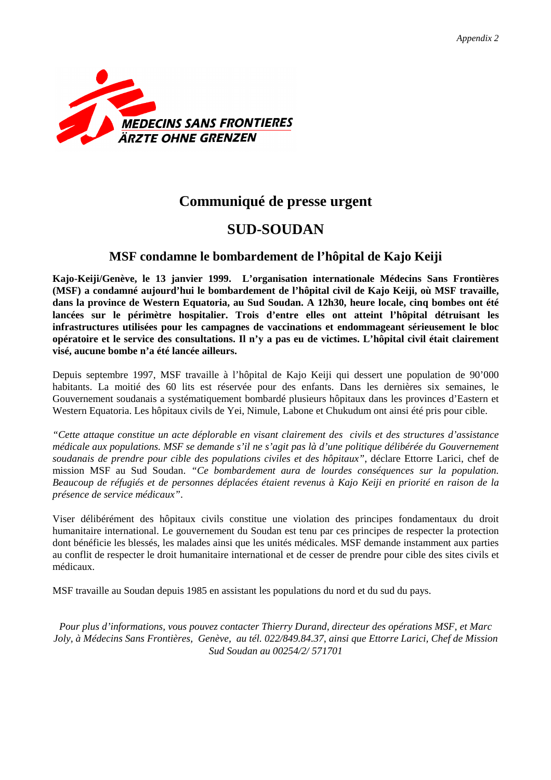

# **Communiqué de presse urgent**

# **SUD-SOUDAN**

### **MSF condamne le bombardement de l'hôpital de Kajo Keiji**

**Kajo-Keiji/Genève, le 13 janvier 1999. L'organisation internationale Médecins Sans Frontières (MSF) a condamné aujourd'hui le bombardement de l'hôpital civil de Kajo Keiji, où MSF travaille, dans la province de Western Equatoria, au Sud Soudan. A 12h30, heure locale, cinq bombes ont été lancées sur le périmètre hospitalier. Trois d'entre elles ont atteint l'hôpital détruisant les infrastructures utilisées pour les campagnes de vaccinations et endommageant sérieusement le bloc opératoire et le service des consultations. Il n'y a pas eu de victimes. L'hôpital civil était clairement visé, aucune bombe n'a été lancée ailleurs.**

Depuis septembre 1997, MSF travaille à l'hôpital de Kajo Keiji qui dessert une population de 90'000 habitants. La moitié des 60 lits est réservée pour des enfants. Dans les dernières six semaines, le Gouvernement soudanais a systématiquement bombardé plusieurs hôpitaux dans les provinces d'Eastern et Western Equatoria. Les hôpitaux civils de Yei, Nimule, Labone et Chukudum ont ainsi été pris pour cible.

*"Cette attaque constitue un acte déplorable en visant clairement des civils et des structures d'assistance médicale aux populations. MSF se demande s'il ne s'agit pas là d'une politique délibérée du Gouvernement soudanais de prendre pour cible des populations civiles et des hôpitaux"*, déclare Ettorre Larici, chef de mission MSF au Sud Soudan. *"Ce bombardement aura de lourdes conséquences sur la population. Beaucoup de réfugiés et de personnes déplacées étaient revenus à Kajo Keiji en priorité en raison de la présence de service médicaux"*.

Viser délibérément des hôpitaux civils constitue une violation des principes fondamentaux du droit humanitaire international. Le gouvernement du Soudan est tenu par ces principes de respecter la protection dont bénéficie les blessés, les malades ainsi que les unités médicales. MSF demande instamment aux parties au conflit de respecter le droit humanitaire international et de cesser de prendre pour cible des sites civils et médicaux.

MSF travaille au Soudan depuis 1985 en assistant les populations du nord et du sud du pays.

*Pour plus d'informations, vous pouvez contacter Thierry Durand, directeur des opérations MSF, et Marc Joly, à Médecins Sans Frontières, Genève, au tél. 022/849.84.37, ainsi que Ettorre Larici, Chef de Mission Sud Soudan au 00254/2/ 571701*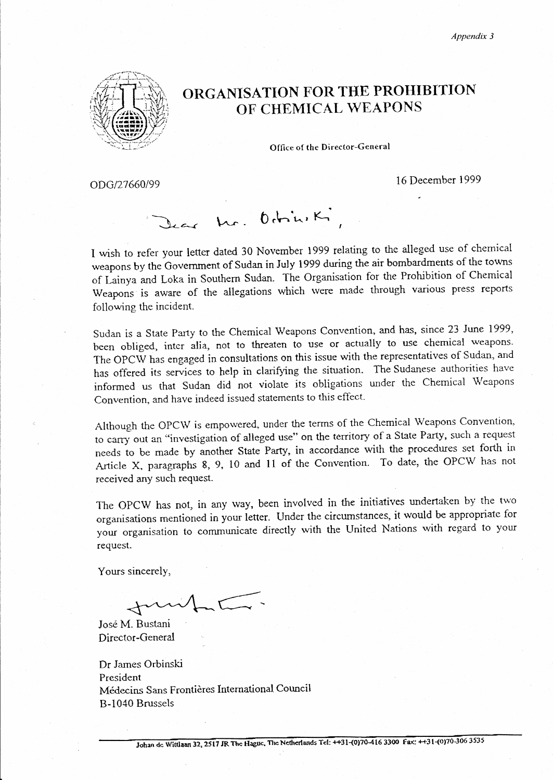Appendix 3



# ORGANISATION FOR THE PROHIBITION OF CHEMICAL WEAPONS

Office of the Director-General

ODG/27660/99

16 December 1999

Dear Mr. Ochinski

I wish to refer your letter dated 30 November 1999 relating to the alleged use of chemical weapons by the Government of Sudan in July 1999 during the air bombardments of the towns of Lainya and Loka in Southern Sudan. The Organisation for the Prohibition of Chemical Weapons is aware of the allegations which were made through various press reports following the incident.

Sudan is a State Party to the Chemical Weapons Convention, and has, since 23 June 1999, been obliged, inter alia, not to threaten to use or actually to use chemical weapons. The OPCW has engaged in consultations on this issue with the representatives of Sudan, and has offered its services to help in clarifying the situation. The Sudanese authorities have informed us that Sudan did not violate its obligations under the Chemical Weapons Convention, and have indeed issued statements to this effect.

Although the OPCW is empowered, under the terms of the Chemical Weapons Convention, to carry out an "investigation of alleged use" on the territory of a State Party, such a request needs to be made by another State Party, in accordance with the procedures set forth in Article X, paragraphs 8, 9, 10 and 11 of the Convention. To date, the OPCW has not received any such request.

The OPCW has not, in any way, been involved in the initiatives undertaken by the two organisations mentioned in your letter. Under the circumstances, it would be appropriate for your organisation to communicate directly with the United Nations with regard to your request.

Yours sincerely,

José M. Bustani Director-General

Dr James Orbinski President Médecins Sans Frontières International Council B-1040 Brussels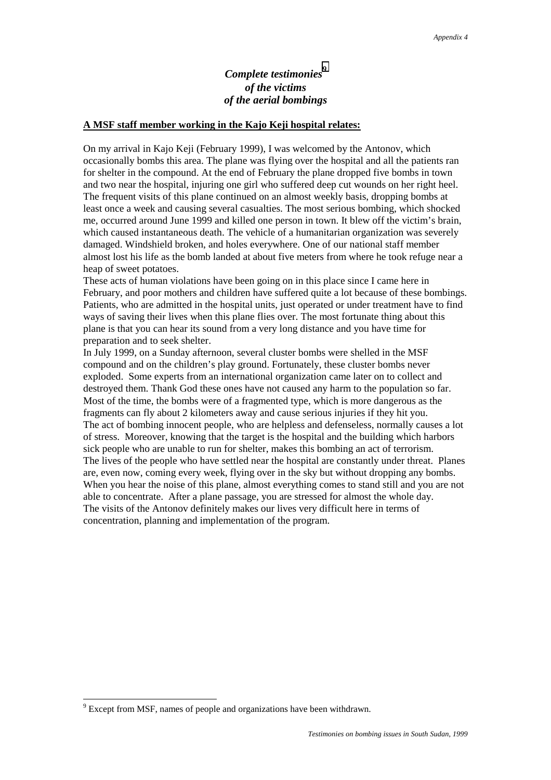### *Complete testimonies*<sup>9</sup> *of the victims of the aerial bombings*

#### **A MSF staff member working in the Kajo Keji hospital relates:**

On my arrival in Kajo Keji (February 1999), I was welcomed by the Antonov, which occasionally bombs this area. The plane was flying over the hospital and all the patients ran for shelter in the compound. At the end of February the plane dropped five bombs in town and two near the hospital, injuring one girl who suffered deep cut wounds on her right heel. The frequent visits of this plane continued on an almost weekly basis, dropping bombs at least once a week and causing several casualties. The most serious bombing, which shocked me, occurred around June 1999 and killed one person in town. It blew off the victim's brain, which caused instantaneous death. The vehicle of a humanitarian organization was severely damaged. Windshield broken, and holes everywhere. One of our national staff member almost lost his life as the bomb landed at about five meters from where he took refuge near a heap of sweet potatoes.

These acts of human violations have been going on in this place since I came here in February, and poor mothers and children have suffered quite a lot because of these bombings. Patients, who are admitted in the hospital units, just operated or under treatment have to find ways of saving their lives when this plane flies over. The most fortunate thing about this plane is that you can hear its sound from a very long distance and you have time for preparation and to seek shelter.

In July 1999, on a Sunday afternoon, several cluster bombs were shelled in the MSF compound and on the children's play ground. Fortunately, these cluster bombs never exploded. Some experts from an international organization came later on to collect and destroyed them. Thank God these ones have not caused any harm to the population so far. Most of the time, the bombs were of a fragmented type, which is more dangerous as the fragments can fly about 2 kilometers away and cause serious injuries if they hit you. The act of bombing innocent people, who are helpless and defenseless, normally causes a lot of stress. Moreover, knowing that the target is the hospital and the building which harbors sick people who are unable to run for shelter, makes this bombing an act of terrorism. The lives of the people who have settled near the hospital are constantly under threat. Planes are, even now, coming every week, flying over in the sky but without dropping any bombs. When you hear the noise of this plane, almost everything comes to stand still and you are not able to concentrate. After a plane passage, you are stressed for almost the whole day. The visits of the Antonov definitely makes our lives very difficult here in terms of concentration, planning and implementation of the program.

l

 $9^9$  Except from MSF, names of people and organizations have been withdrawn.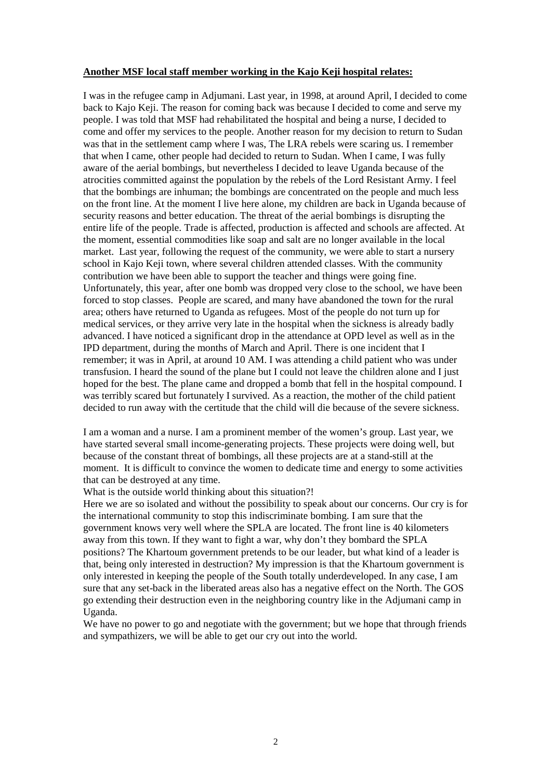#### **Another MSF local staff member working in the Kajo Keji hospital relates:**

I was in the refugee camp in Adjumani. Last year, in 1998, at around April, I decided to come back to Kajo Keji. The reason for coming back was because I decided to come and serve my people. I was told that MSF had rehabilitated the hospital and being a nurse, I decided to come and offer my services to the people. Another reason for my decision to return to Sudan was that in the settlement camp where I was, The LRA rebels were scaring us. I remember that when I came, other people had decided to return to Sudan. When I came, I was fully aware of the aerial bombings, but nevertheless I decided to leave Uganda because of the atrocities committed against the population by the rebels of the Lord Resistant Army. I feel that the bombings are inhuman; the bombings are concentrated on the people and much less on the front line. At the moment I live here alone, my children are back in Uganda because of security reasons and better education. The threat of the aerial bombings is disrupting the entire life of the people. Trade is affected, production is affected and schools are affected. At the moment, essential commodities like soap and salt are no longer available in the local market. Last year, following the request of the community, we were able to start a nursery school in Kajo Keji town, where several children attended classes. With the community contribution we have been able to support the teacher and things were going fine. Unfortunately, this year, after one bomb was dropped very close to the school, we have been forced to stop classes. People are scared, and many have abandoned the town for the rural area; others have returned to Uganda as refugees. Most of the people do not turn up for medical services, or they arrive very late in the hospital when the sickness is already badly advanced. I have noticed a significant drop in the attendance at OPD level as well as in the IPD department, during the months of March and April. There is one incident that I remember; it was in April, at around 10 AM. I was attending a child patient who was under transfusion. I heard the sound of the plane but I could not leave the children alone and I just hoped for the best. The plane came and dropped a bomb that fell in the hospital compound. I was terribly scared but fortunately I survived. As a reaction, the mother of the child patient decided to run away with the certitude that the child will die because of the severe sickness.

I am a woman and a nurse. I am a prominent member of the women's group. Last year, we have started several small income-generating projects. These projects were doing well, but because of the constant threat of bombings, all these projects are at a stand-still at the moment. It is difficult to convince the women to dedicate time and energy to some activities that can be destroyed at any time.

What is the outside world thinking about this situation?!

Here we are so isolated and without the possibility to speak about our concerns. Our cry is for the international community to stop this indiscriminate bombing. I am sure that the government knows very well where the SPLA are located. The front line is 40 kilometers away from this town. If they want to fight a war, why don't they bombard the SPLA positions? The Khartoum government pretends to be our leader, but what kind of a leader is that, being only interested in destruction? My impression is that the Khartoum government is only interested in keeping the people of the South totally underdeveloped. In any case, I am sure that any set-back in the liberated areas also has a negative effect on the North. The GOS go extending their destruction even in the neighboring country like in the Adjumani camp in Uganda.

We have no power to go and negotiate with the government; but we hope that through friends and sympathizers, we will be able to get our cry out into the world.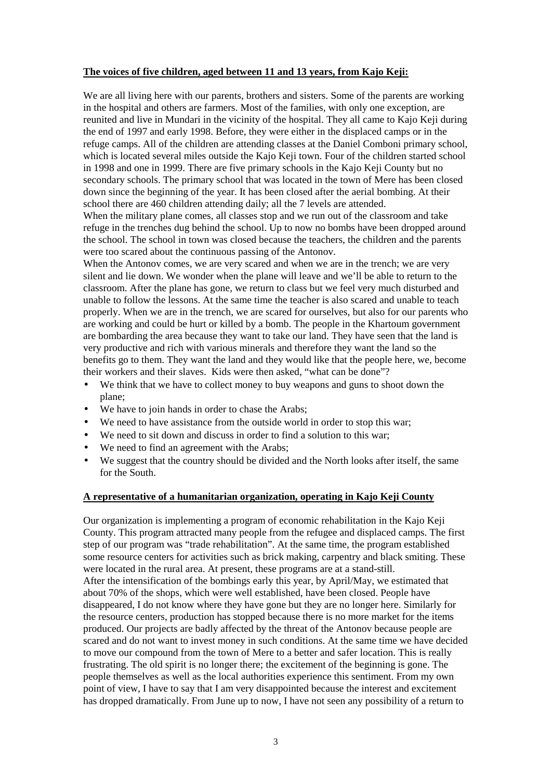#### **The voices of five children, aged between 11 and 13 years, from Kajo Keji:**

We are all living here with our parents, brothers and sisters. Some of the parents are working in the hospital and others are farmers. Most of the families, with only one exception, are reunited and live in Mundari in the vicinity of the hospital. They all came to Kajo Keji during the end of 1997 and early 1998. Before, they were either in the displaced camps or in the refuge camps. All of the children are attending classes at the Daniel Comboni primary school, which is located several miles outside the Kajo Keji town. Four of the children started school in 1998 and one in 1999. There are five primary schools in the Kajo Keji County but no secondary schools. The primary school that was located in the town of Mere has been closed down since the beginning of the year. It has been closed after the aerial bombing. At their school there are 460 children attending daily; all the 7 levels are attended.

When the military plane comes, all classes stop and we run out of the classroom and take refuge in the trenches dug behind the school. Up to now no bombs have been dropped around the school. The school in town was closed because the teachers, the children and the parents were too scared about the continuous passing of the Antonov.

When the Antonov comes, we are very scared and when we are in the trench; we are very silent and lie down. We wonder when the plane will leave and we'll be able to return to the classroom. After the plane has gone, we return to class but we feel very much disturbed and unable to follow the lessons. At the same time the teacher is also scared and unable to teach properly. When we are in the trench, we are scared for ourselves, but also for our parents who are working and could be hurt or killed by a bomb. The people in the Khartoum government are bombarding the area because they want to take our land. They have seen that the land is very productive and rich with various minerals and therefore they want the land so the benefits go to them. They want the land and they would like that the people here, we, become their workers and their slaves. Kids were then asked, "what can be done"?

- We think that we have to collect money to buy weapons and guns to shoot down the plane;
- We have to join hands in order to chase the Arabs;
- We need to have assistance from the outside world in order to stop this war;
- We need to sit down and discuss in order to find a solution to this war:
- We need to find an agreement with the Arabs;
- We suggest that the country should be divided and the North looks after itself, the same for the South.

#### **A representative of a humanitarian organization, operating in Kajo Keji County**

Our organization is implementing a program of economic rehabilitation in the Kajo Keji County. This program attracted many people from the refugee and displaced camps. The first step of our program was "trade rehabilitation". At the same time, the program established some resource centers for activities such as brick making, carpentry and black smiting. These were located in the rural area. At present, these programs are at a stand-still. After the intensification of the bombings early this year, by April/May, we estimated that about 70% of the shops, which were well established, have been closed. People have disappeared, I do not know where they have gone but they are no longer here. Similarly for the resource centers, production has stopped because there is no more market for the items produced. Our projects are badly affected by the threat of the Antonov because people are scared and do not want to invest money in such conditions. At the same time we have decided to move our compound from the town of Mere to a better and safer location. This is really frustrating. The old spirit is no longer there; the excitement of the beginning is gone. The people themselves as well as the local authorities experience this sentiment. From my own point of view, I have to say that I am very disappointed because the interest and excitement has dropped dramatically. From June up to now, I have not seen any possibility of a return to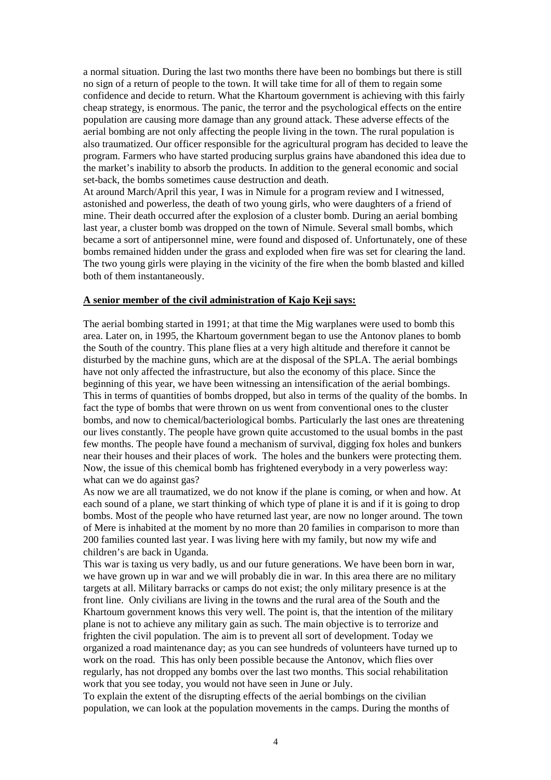a normal situation. During the last two months there have been no bombings but there is still no sign of a return of people to the town. It will take time for all of them to regain some confidence and decide to return. What the Khartoum government is achieving with this fairly cheap strategy, is enormous. The panic, the terror and the psychological effects on the entire population are causing more damage than any ground attack. These adverse effects of the aerial bombing are not only affecting the people living in the town. The rural population is also traumatized. Our officer responsible for the agricultural program has decided to leave the program. Farmers who have started producing surplus grains have abandoned this idea due to the market's inability to absorb the products. In addition to the general economic and social set-back, the bombs sometimes cause destruction and death.

At around March/April this year, I was in Nimule for a program review and I witnessed, astonished and powerless, the death of two young girls, who were daughters of a friend of mine. Their death occurred after the explosion of a cluster bomb. During an aerial bombing last year, a cluster bomb was dropped on the town of Nimule. Several small bombs, which became a sort of antipersonnel mine, were found and disposed of. Unfortunately, one of these bombs remained hidden under the grass and exploded when fire was set for clearing the land. The two young girls were playing in the vicinity of the fire when the bomb blasted and killed both of them instantaneously.

#### **A senior member of the civil administration of Kajo Keji says:**

The aerial bombing started in 1991; at that time the Mig warplanes were used to bomb this area. Later on, in 1995, the Khartoum government began to use the Antonov planes to bomb the South of the country. This plane flies at a very high altitude and therefore it cannot be disturbed by the machine guns, which are at the disposal of the SPLA. The aerial bombings have not only affected the infrastructure, but also the economy of this place. Since the beginning of this year, we have been witnessing an intensification of the aerial bombings. This in terms of quantities of bombs dropped, but also in terms of the quality of the bombs. In fact the type of bombs that were thrown on us went from conventional ones to the cluster bombs, and now to chemical/bacteriological bombs. Particularly the last ones are threatening our lives constantly. The people have grown quite accustomed to the usual bombs in the past few months. The people have found a mechanism of survival, digging fox holes and bunkers near their houses and their places of work. The holes and the bunkers were protecting them. Now, the issue of this chemical bomb has frightened everybody in a very powerless way: what can we do against gas?

As now we are all traumatized, we do not know if the plane is coming, or when and how. At each sound of a plane, we start thinking of which type of plane it is and if it is going to drop bombs. Most of the people who have returned last year, are now no longer around. The town of Mere is inhabited at the moment by no more than 20 families in comparison to more than 200 families counted last year. I was living here with my family, but now my wife and children's are back in Uganda.

This war is taxing us very badly, us and our future generations. We have been born in war, we have grown up in war and we will probably die in war. In this area there are no military targets at all. Military barracks or camps do not exist; the only military presence is at the front line. Only civilians are living in the towns and the rural area of the South and the Khartoum government knows this very well. The point is, that the intention of the military plane is not to achieve any military gain as such. The main objective is to terrorize and frighten the civil population. The aim is to prevent all sort of development. Today we organized a road maintenance day; as you can see hundreds of volunteers have turned up to work on the road. This has only been possible because the Antonov, which flies over regularly, has not dropped any bombs over the last two months. This social rehabilitation work that you see today, you would not have seen in June or July.

To explain the extent of the disrupting effects of the aerial bombings on the civilian population, we can look at the population movements in the camps. During the months of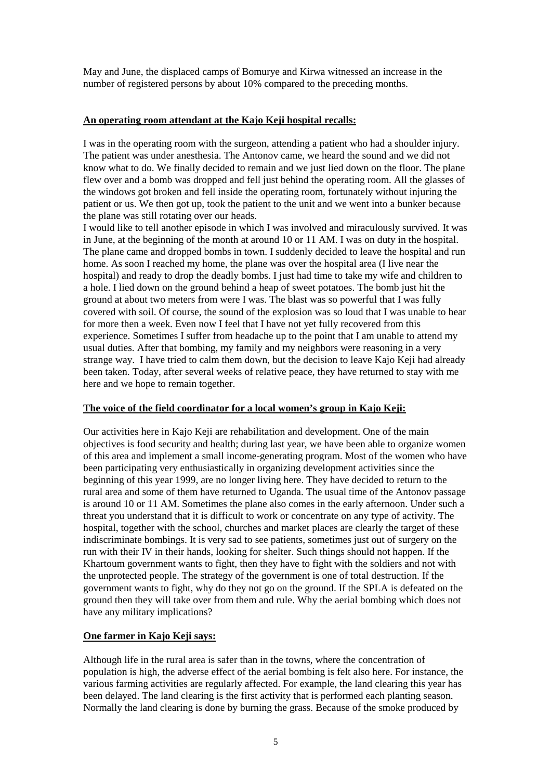May and June, the displaced camps of Bomurye and Kirwa witnessed an increase in the number of registered persons by about 10% compared to the preceding months.

#### **An operating room attendant at the Kajo Keji hospital recalls:**

I was in the operating room with the surgeon, attending a patient who had a shoulder injury. The patient was under anesthesia. The Antonov came, we heard the sound and we did not know what to do. We finally decided to remain and we just lied down on the floor. The plane flew over and a bomb was dropped and fell just behind the operating room. All the glasses of the windows got broken and fell inside the operating room, fortunately without injuring the patient or us. We then got up, took the patient to the unit and we went into a bunker because the plane was still rotating over our heads.

I would like to tell another episode in which I was involved and miraculously survived. It was in June, at the beginning of the month at around 10 or 11 AM. I was on duty in the hospital. The plane came and dropped bombs in town. I suddenly decided to leave the hospital and run home. As soon I reached my home, the plane was over the hospital area (I live near the hospital) and ready to drop the deadly bombs. I just had time to take my wife and children to a hole. I lied down on the ground behind a heap of sweet potatoes. The bomb just hit the ground at about two meters from were I was. The blast was so powerful that I was fully covered with soil. Of course, the sound of the explosion was so loud that I was unable to hear for more then a week. Even now I feel that I have not yet fully recovered from this experience. Sometimes I suffer from headache up to the point that I am unable to attend my usual duties. After that bombing, my family and my neighbors were reasoning in a very strange way. I have tried to calm them down, but the decision to leave Kajo Keji had already been taken. Today, after several weeks of relative peace, they have returned to stay with me here and we hope to remain together.

#### **The voice of the field coordinator for a local women's group in Kajo Keji:**

Our activities here in Kajo Keji are rehabilitation and development. One of the main objectives is food security and health; during last year, we have been able to organize women of this area and implement a small income-generating program. Most of the women who have been participating very enthusiastically in organizing development activities since the beginning of this year 1999, are no longer living here. They have decided to return to the rural area and some of them have returned to Uganda. The usual time of the Antonov passage is around 10 or 11 AM. Sometimes the plane also comes in the early afternoon. Under such a threat you understand that it is difficult to work or concentrate on any type of activity. The hospital, together with the school, churches and market places are clearly the target of these indiscriminate bombings. It is very sad to see patients, sometimes just out of surgery on the run with their IV in their hands, looking for shelter. Such things should not happen. If the Khartoum government wants to fight, then they have to fight with the soldiers and not with the unprotected people. The strategy of the government is one of total destruction. If the government wants to fight, why do they not go on the ground. If the SPLA is defeated on the ground then they will take over from them and rule. Why the aerial bombing which does not have any military implications?

#### **One farmer in Kajo Keji says:**

Although life in the rural area is safer than in the towns, where the concentration of population is high, the adverse effect of the aerial bombing is felt also here. For instance, the various farming activities are regularly affected. For example, the land clearing this year has been delayed. The land clearing is the first activity that is performed each planting season. Normally the land clearing is done by burning the grass. Because of the smoke produced by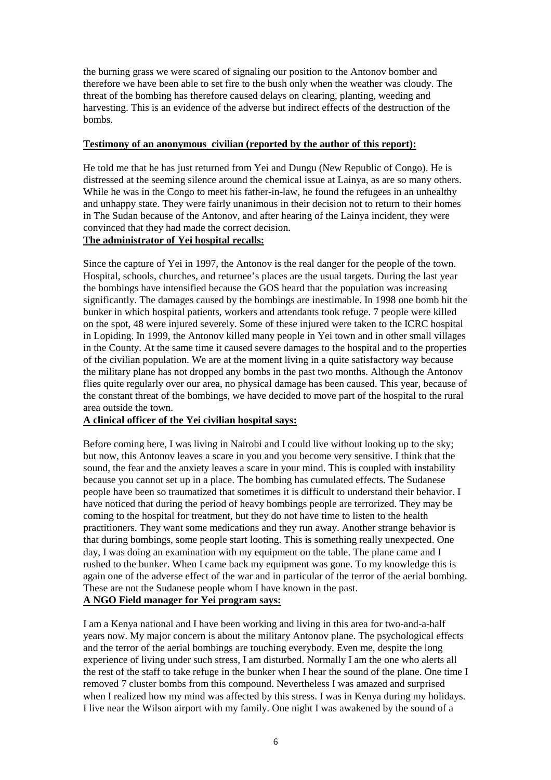the burning grass we were scared of signaling our position to the Antonov bomber and therefore we have been able to set fire to the bush only when the weather was cloudy. The threat of the bombing has therefore caused delays on clearing, planting, weeding and harvesting. This is an evidence of the adverse but indirect effects of the destruction of the bombs.

#### **Testimony of an anonymous civilian (reported by the author of this report):**

He told me that he has just returned from Yei and Dungu (New Republic of Congo). He is distressed at the seeming silence around the chemical issue at Lainya, as are so many others. While he was in the Congo to meet his father-in-law, he found the refugees in an unhealthy and unhappy state. They were fairly unanimous in their decision not to return to their homes in The Sudan because of the Antonov, and after hearing of the Lainya incident, they were convinced that they had made the correct decision.

#### **The administrator of Yei hospital recalls:**

Since the capture of Yei in 1997, the Antonov is the real danger for the people of the town. Hospital, schools, churches, and returnee's places are the usual targets. During the last year the bombings have intensified because the GOS heard that the population was increasing significantly. The damages caused by the bombings are inestimable. In 1998 one bomb hit the bunker in which hospital patients, workers and attendants took refuge. 7 people were killed on the spot, 48 were injured severely. Some of these injured were taken to the ICRC hospital in Lopiding. In 1999, the Antonov killed many people in Yei town and in other small villages in the County. At the same time it caused severe damages to the hospital and to the properties of the civilian population. We are at the moment living in a quite satisfactory way because the military plane has not dropped any bombs in the past two months. Although the Antonov flies quite regularly over our area, no physical damage has been caused. This year, because of the constant threat of the bombings, we have decided to move part of the hospital to the rural area outside the town.

#### **A clinical officer of the Yei civilian hospital says:**

Before coming here, I was living in Nairobi and I could live without looking up to the sky; but now, this Antonov leaves a scare in you and you become very sensitive. I think that the sound, the fear and the anxiety leaves a scare in your mind. This is coupled with instability because you cannot set up in a place. The bombing has cumulated effects. The Sudanese people have been so traumatized that sometimes it is difficult to understand their behavior. I have noticed that during the period of heavy bombings people are terrorized. They may be coming to the hospital for treatment, but they do not have time to listen to the health practitioners. They want some medications and they run away. Another strange behavior is that during bombings, some people start looting. This is something really unexpected. One day, I was doing an examination with my equipment on the table. The plane came and I rushed to the bunker. When I came back my equipment was gone. To my knowledge this is again one of the adverse effect of the war and in particular of the terror of the aerial bombing. These are not the Sudanese people whom I have known in the past.

#### **A NGO Field manager for Yei program says:**

I am a Kenya national and I have been working and living in this area for two-and-a-half years now. My major concern is about the military Antonov plane. The psychological effects and the terror of the aerial bombings are touching everybody. Even me, despite the long experience of living under such stress, I am disturbed. Normally I am the one who alerts all the rest of the staff to take refuge in the bunker when I hear the sound of the plane. One time I removed 7 cluster bombs from this compound. Nevertheless I was amazed and surprised when I realized how my mind was affected by this stress. I was in Kenya during my holidays. I live near the Wilson airport with my family. One night I was awakened by the sound of a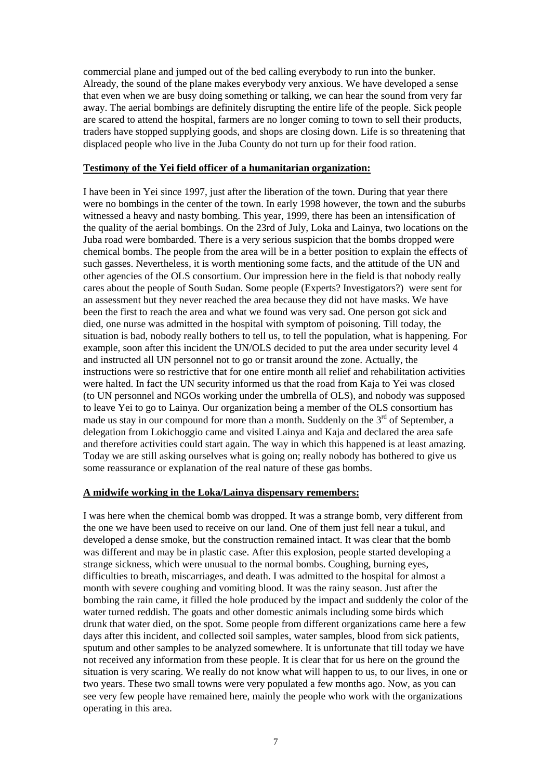commercial plane and jumped out of the bed calling everybody to run into the bunker. Already, the sound of the plane makes everybody very anxious. We have developed a sense that even when we are busy doing something or talking, we can hear the sound from very far away. The aerial bombings are definitely disrupting the entire life of the people. Sick people are scared to attend the hospital, farmers are no longer coming to town to sell their products, traders have stopped supplying goods, and shops are closing down. Life is so threatening that displaced people who live in the Juba County do not turn up for their food ration.

#### **Testimony of the Yei field officer of a humanitarian organization:**

I have been in Yei since 1997, just after the liberation of the town. During that year there were no bombings in the center of the town. In early 1998 however, the town and the suburbs witnessed a heavy and nasty bombing. This year, 1999, there has been an intensification of the quality of the aerial bombings. On the 23rd of July, Loka and Lainya, two locations on the Juba road were bombarded. There is a very serious suspicion that the bombs dropped were chemical bombs. The people from the area will be in a better position to explain the effects of such gasses. Nevertheless, it is worth mentioning some facts, and the attitude of the UN and other agencies of the OLS consortium. Our impression here in the field is that nobody really cares about the people of South Sudan. Some people (Experts? Investigators?) were sent for an assessment but they never reached the area because they did not have masks. We have been the first to reach the area and what we found was very sad. One person got sick and died, one nurse was admitted in the hospital with symptom of poisoning. Till today, the situation is bad, nobody really bothers to tell us, to tell the population, what is happening. For example, soon after this incident the UN/OLS decided to put the area under security level 4 and instructed all UN personnel not to go or transit around the zone. Actually, the instructions were so restrictive that for one entire month all relief and rehabilitation activities were halted. In fact the UN security informed us that the road from Kaja to Yei was closed (to UN personnel and NGOs working under the umbrella of OLS), and nobody was supposed to leave Yei to go to Lainya. Our organization being a member of the OLS consortium has made us stay in our compound for more than a month. Suddenly on the  $3<sup>rd</sup>$  of September, a delegation from Lokichoggio came and visited Lainya and Kaja and declared the area safe and therefore activities could start again. The way in which this happened is at least amazing. Today we are still asking ourselves what is going on; really nobody has bothered to give us some reassurance or explanation of the real nature of these gas bombs.

#### **A midwife working in the Loka/Lainya dispensary remembers:**

I was here when the chemical bomb was dropped. It was a strange bomb, very different from the one we have been used to receive on our land. One of them just fell near a tukul, and developed a dense smoke, but the construction remained intact. It was clear that the bomb was different and may be in plastic case. After this explosion, people started developing a strange sickness, which were unusual to the normal bombs. Coughing, burning eyes, difficulties to breath, miscarriages, and death. I was admitted to the hospital for almost a month with severe coughing and vomiting blood. It was the rainy season. Just after the bombing the rain came, it filled the hole produced by the impact and suddenly the color of the water turned reddish. The goats and other domestic animals including some birds which drunk that water died, on the spot. Some people from different organizations came here a few days after this incident, and collected soil samples, water samples, blood from sick patients, sputum and other samples to be analyzed somewhere. It is unfortunate that till today we have not received any information from these people. It is clear that for us here on the ground the situation is very scaring. We really do not know what will happen to us, to our lives, in one or two years. These two small towns were very populated a few months ago. Now, as you can see very few people have remained here, mainly the people who work with the organizations operating in this area.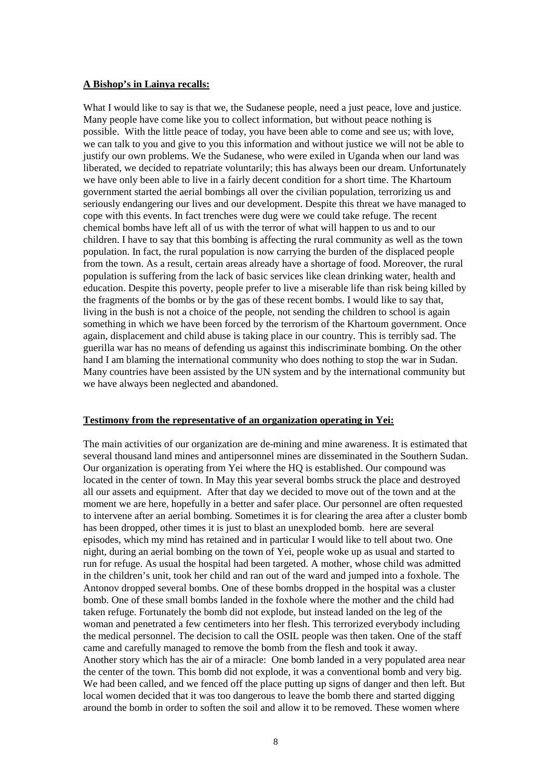#### **A Bishop's in Lainya recalls:**

What I would like to say is that we, the Sudanese people, need a just peace, love and justice. Many people have come like you to collect information, but without peace nothing is possible. With the little peace of today, you have been able to come and see us; with love, we can talk to you and give to you this information and without justice we will not be able to justify our own problems. We the Sudanese, who were exiled in Uganda when our land was liberated, we decided to repatriate voluntarily; this has always been our dream. Unfortunately we have only been able to live in a fairly decent condition for a short time. The Khartoum government started the aerial bombings all over the civilian population, terrorizing us and seriously endangering our lives and our development. Despite this threat we have managed to cope with this events. In fact trenches were dug were we could take refuge. The recent chemical bombs have left all of us with the terror of what will happen to us and to our children. I have to say that this bombing is affecting the rural community as well as the town population. In fact, the rural population is now carrying the burden of the displaced people from the town. As a result, certain areas already have a shortage of food. Moreover, the rural population is suffering from the lack of basic services like clean drinking water, health and education. Despite this poverty, people prefer to live a miserable life than risk being killed by the fragments of the bombs or by the gas of these recent bombs. I would like to say that, living in the bush is not a choice of the people, not sending the children to school is again something in which we have been forced by the terrorism of the Khartoum government. Once again, displacement and child abuse is taking place in our country. This is terribly sad. The guerilla war has no means of defending us against this indiscriminate bombing. On the other hand I am blaming the international community who does nothing to stop the war in Sudan. Many countries have been assisted by the UN system and by the international community but we have always been neglected and abandoned.

#### **Testimony from the representative of an organization operating in Yei:**

The main activities of our organization are de-mining and mine awareness. It is estimated that several thousand land mines and antipersonnel mines are disseminated in the Southern Sudan. Our organization is operating from Yei where the HQ is established. Our compound was located in the center of town. In May this year several bombs struck the place and destroyed all our assets and equipment. After that day we decided to move out of the town and at the moment we are here, hopefully in a better and safer place. Our personnel are often requested to intervene after an aerial bombing. Sometimes it is for clearing the area after a cluster bomb has been dropped, other times it is just to blast an unexploded bomb. here are several episodes, which my mind has retained and in particular I would like to tell about two. One night, during an aerial bombing on the town of Yei, people woke up as usual and started to run for refuge. As usual the hospital had been targeted. A mother, whose child was admitted in the children's unit, took her child and ran out of the ward and jumped into a foxhole. The Antonov dropped several bombs. One of these bombs dropped in the hospital was a cluster bomb. One of these small bombs landed in the foxhole where the mother and the child had taken refuge. Fortunately the bomb did not explode, but instead landed on the leg of the woman and penetrated a few centimeters into her flesh. This terrorized everybody including the medical personnel. The decision to call the OSIL people was then taken. One of the staff came and carefully managed to remove the bomb from the flesh and took it away. Another story which has the air of a miracle: One bomb landed in a very populated area near the center of the town. This bomb did not explode, it was a conventional bomb and very big. We had been called, and we fenced off the place putting up signs of danger and then left. But local women decided that it was too dangerous to leave the bomb there and started digging around the bomb in order to soften the soil and allow it to be removed. These women where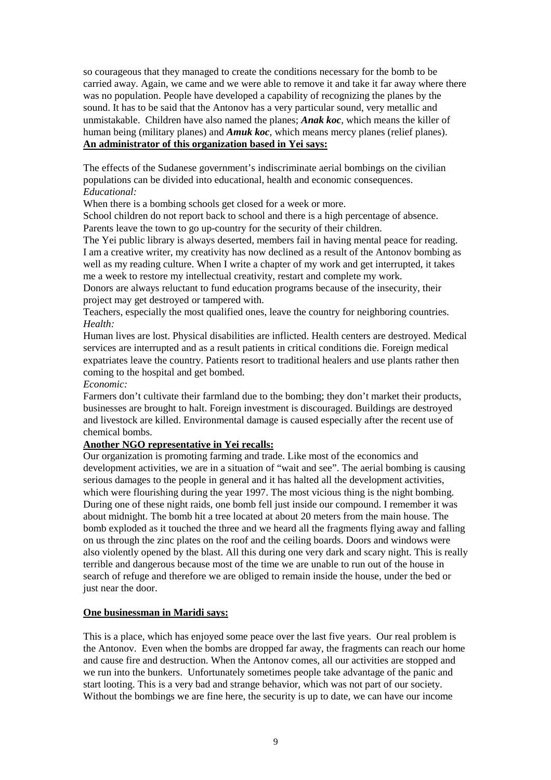so courageous that they managed to create the conditions necessary for the bomb to be carried away. Again, we came and we were able to remove it and take it far away where there was no population. People have developed a capability of recognizing the planes by the sound. It has to be said that the Antonov has a very particular sound, very metallic and unmistakable. Children have also named the planes; *Anak koc*, which means the killer of human being (military planes) and *Amuk koc*, which means mercy planes (relief planes). **An administrator of this organization based in Yei says:**

The effects of the Sudanese government's indiscriminate aerial bombings on the civilian populations can be divided into educational, health and economic consequences. *Educational:*

When there is a bombing schools get closed for a week or more.

School children do not report back to school and there is a high percentage of absence. Parents leave the town to go up-country for the security of their children.

The Yei public library is always deserted, members fail in having mental peace for reading. I am a creative writer, my creativity has now declined as a result of the Antonov bombing as well as my reading culture. When I write a chapter of my work and get interrupted, it takes me a week to restore my intellectual creativity, restart and complete my work.

Donors are always reluctant to fund education programs because of the insecurity, their project may get destroyed or tampered with.

Teachers, especially the most qualified ones, leave the country for neighboring countries. *Health:*

Human lives are lost. Physical disabilities are inflicted. Health centers are destroyed. Medical services are interrupted and as a result patients in critical conditions die. Foreign medical expatriates leave the country. Patients resort to traditional healers and use plants rather then coming to the hospital and get bombed.

*Economic:*

Farmers don't cultivate their farmland due to the bombing; they don't market their products, businesses are brought to halt. Foreign investment is discouraged. Buildings are destroyed and livestock are killed. Environmental damage is caused especially after the recent use of chemical bombs.

#### **Another NGO representative in Yei recalls:**

Our organization is promoting farming and trade. Like most of the economics and development activities, we are in a situation of "wait and see". The aerial bombing is causing serious damages to the people in general and it has halted all the development activities, which were flourishing during the year 1997. The most vicious thing is the night bombing. During one of these night raids, one bomb fell just inside our compound. I remember it was about midnight. The bomb hit a tree located at about 20 meters from the main house. The bomb exploded as it touched the three and we heard all the fragments flying away and falling on us through the zinc plates on the roof and the ceiling boards. Doors and windows were also violently opened by the blast. All this during one very dark and scary night. This is really terrible and dangerous because most of the time we are unable to run out of the house in search of refuge and therefore we are obliged to remain inside the house, under the bed or just near the door.

#### **One businessman in Maridi says:**

This is a place, which has enjoyed some peace over the last five years. Our real problem is the Antonov. Even when the bombs are dropped far away, the fragments can reach our home and cause fire and destruction. When the Antonov comes, all our activities are stopped and we run into the bunkers. Unfortunately sometimes people take advantage of the panic and start looting. This is a very bad and strange behavior, which was not part of our society. Without the bombings we are fine here, the security is up to date, we can have our income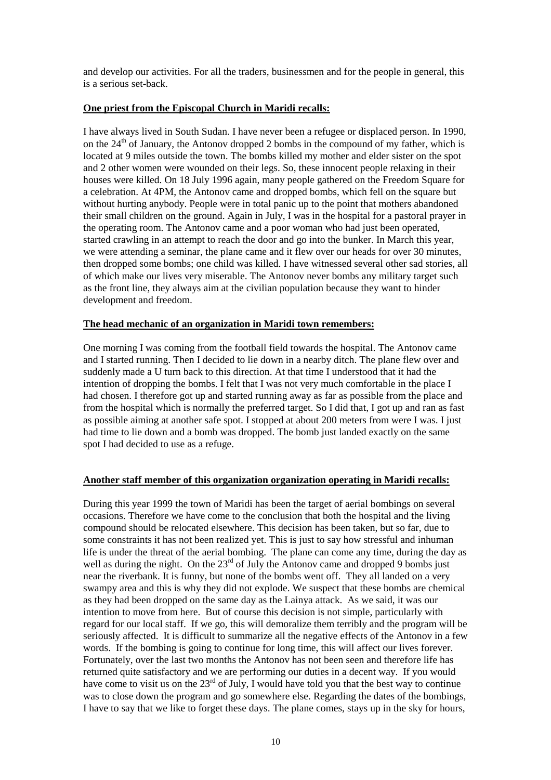and develop our activities. For all the traders, businessmen and for the people in general, this is a serious set-back.

#### **One priest from the Episcopal Church in Maridi recalls:**

I have always lived in South Sudan. I have never been a refugee or displaced person. In 1990, on the  $24<sup>th</sup>$  of January, the Antonov dropped 2 bombs in the compound of my father, which is located at 9 miles outside the town. The bombs killed my mother and elder sister on the spot and 2 other women were wounded on their legs. So, these innocent people relaxing in their houses were killed. On 18 July 1996 again, many people gathered on the Freedom Square for a celebration. At 4PM, the Antonov came and dropped bombs, which fell on the square but without hurting anybody. People were in total panic up to the point that mothers abandoned their small children on the ground. Again in July, I was in the hospital for a pastoral prayer in the operating room. The Antonov came and a poor woman who had just been operated, started crawling in an attempt to reach the door and go into the bunker. In March this year, we were attending a seminar, the plane came and it flew over our heads for over 30 minutes, then dropped some bombs; one child was killed. I have witnessed several other sad stories, all of which make our lives very miserable. The Antonov never bombs any military target such as the front line, they always aim at the civilian population because they want to hinder development and freedom.

#### **The head mechanic of an organization in Maridi town remembers:**

One morning I was coming from the football field towards the hospital. The Antonov came and I started running. Then I decided to lie down in a nearby ditch. The plane flew over and suddenly made a U turn back to this direction. At that time I understood that it had the intention of dropping the bombs. I felt that I was not very much comfortable in the place I had chosen. I therefore got up and started running away as far as possible from the place and from the hospital which is normally the preferred target. So I did that, I got up and ran as fast as possible aiming at another safe spot. I stopped at about 200 meters from were I was. I just had time to lie down and a bomb was dropped. The bomb just landed exactly on the same spot I had decided to use as a refuge.

#### **Another staff member of this organization organization operating in Maridi recalls:**

During this year 1999 the town of Maridi has been the target of aerial bombings on several occasions. Therefore we have come to the conclusion that both the hospital and the living compound should be relocated elsewhere. This decision has been taken, but so far, due to some constraints it has not been realized yet. This is just to say how stressful and inhuman life is under the threat of the aerial bombing. The plane can come any time, during the day as well as during the night. On the  $23<sup>rd</sup>$  of July the Antonov came and dropped 9 bombs just near the riverbank. It is funny, but none of the bombs went off. They all landed on a very swampy area and this is why they did not explode. We suspect that these bombs are chemical as they had been dropped on the same day as the Lainya attack. As we said, it was our intention to move from here. But of course this decision is not simple, particularly with regard for our local staff. If we go, this will demoralize them terribly and the program will be seriously affected. It is difficult to summarize all the negative effects of the Antonov in a few words. If the bombing is going to continue for long time, this will affect our lives forever. Fortunately, over the last two months the Antonov has not been seen and therefore life has returned quite satisfactory and we are performing our duties in a decent way. If you would have come to visit us on the  $23<sup>rd</sup>$  of July, I would have told you that the best way to continue was to close down the program and go somewhere else. Regarding the dates of the bombings, I have to say that we like to forget these days. The plane comes, stays up in the sky for hours,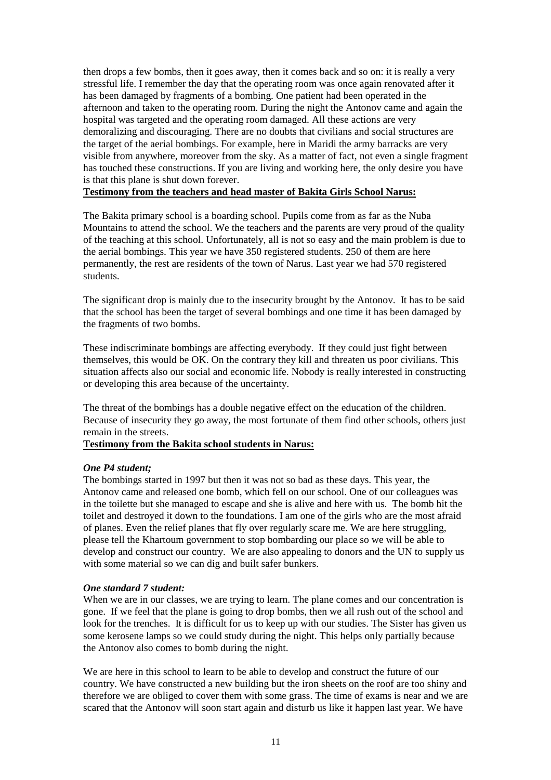then drops a few bombs, then it goes away, then it comes back and so on: it is really a very stressful life. I remember the day that the operating room was once again renovated after it has been damaged by fragments of a bombing. One patient had been operated in the afternoon and taken to the operating room. During the night the Antonov came and again the hospital was targeted and the operating room damaged. All these actions are very demoralizing and discouraging. There are no doubts that civilians and social structures are the target of the aerial bombings. For example, here in Maridi the army barracks are very visible from anywhere, moreover from the sky. As a matter of fact, not even a single fragment has touched these constructions. If you are living and working here, the only desire you have is that this plane is shut down forever.

#### **Testimony from the teachers and head master of Bakita Girls School Narus:**

The Bakita primary school is a boarding school. Pupils come from as far as the Nuba Mountains to attend the school. We the teachers and the parents are very proud of the quality of the teaching at this school. Unfortunately, all is not so easy and the main problem is due to the aerial bombings. This year we have 350 registered students. 250 of them are here permanently, the rest are residents of the town of Narus. Last year we had 570 registered students.

The significant drop is mainly due to the insecurity brought by the Antonov. It has to be said that the school has been the target of several bombings and one time it has been damaged by the fragments of two bombs.

These indiscriminate bombings are affecting everybody. If they could just fight between themselves, this would be OK. On the contrary they kill and threaten us poor civilians. This situation affects also our social and economic life. Nobody is really interested in constructing or developing this area because of the uncertainty.

The threat of the bombings has a double negative effect on the education of the children. Because of insecurity they go away, the most fortunate of them find other schools, others just remain in the streets.

#### **Testimony from the Bakita school students in Narus:**

#### *One P4 student;*

The bombings started in 1997 but then it was not so bad as these days. This year, the Antonov came and released one bomb, which fell on our school. One of our colleagues was in the toilette but she managed to escape and she is alive and here with us. The bomb hit the toilet and destroyed it down to the foundations. I am one of the girls who are the most afraid of planes. Even the relief planes that fly over regularly scare me. We are here struggling, please tell the Khartoum government to stop bombarding our place so we will be able to develop and construct our country. We are also appealing to donors and the UN to supply us with some material so we can dig and built safer bunkers.

#### *One standard 7 student:*

When we are in our classes, we are trying to learn. The plane comes and our concentration is gone. If we feel that the plane is going to drop bombs, then we all rush out of the school and look for the trenches. It is difficult for us to keep up with our studies. The Sister has given us some kerosene lamps so we could study during the night. This helps only partially because the Antonov also comes to bomb during the night.

We are here in this school to learn to be able to develop and construct the future of our country. We have constructed a new building but the iron sheets on the roof are too shiny and therefore we are obliged to cover them with some grass. The time of exams is near and we are scared that the Antonov will soon start again and disturb us like it happen last year. We have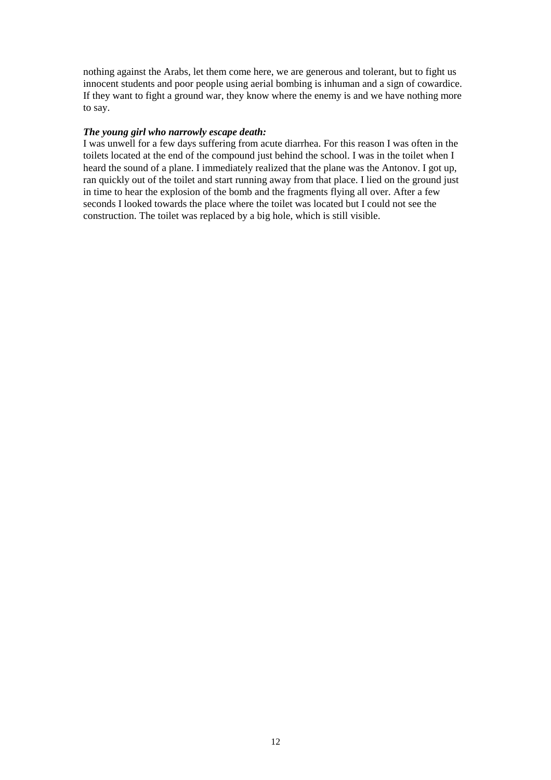nothing against the Arabs, let them come here, we are generous and tolerant, but to fight us innocent students and poor people using aerial bombing is inhuman and a sign of cowardice. If they want to fight a ground war, they know where the enemy is and we have nothing more to say.

#### *The young girl who narrowly escape death:*

I was unwell for a few days suffering from acute diarrhea. For this reason I was often in the toilets located at the end of the compound just behind the school. I was in the toilet when I heard the sound of a plane. I immediately realized that the plane was the Antonov. I got up, ran quickly out of the toilet and start running away from that place. I lied on the ground just in time to hear the explosion of the bomb and the fragments flying all over. After a few seconds I looked towards the place where the toilet was located but I could not see the construction. The toilet was replaced by a big hole, which is still visible.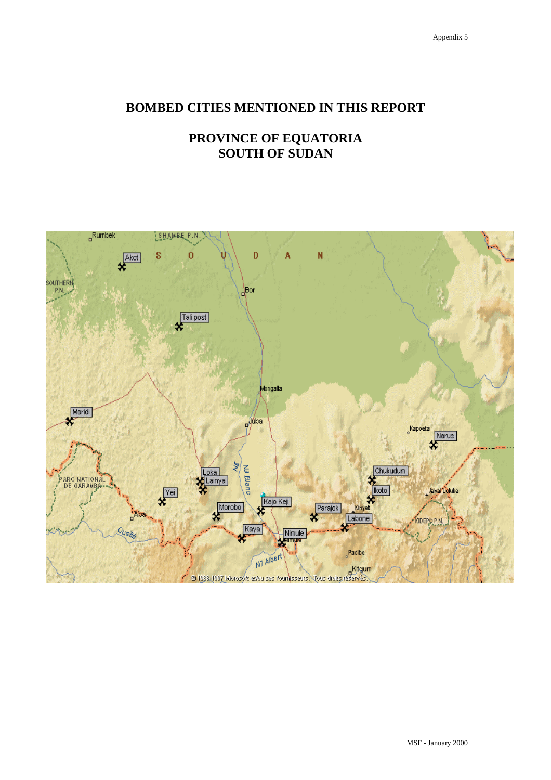# **BOMBED CITIES MENTIONED IN THIS REPORT**

# **PROVINCE OF EQUATORIA SOUTH OF SUDAN**

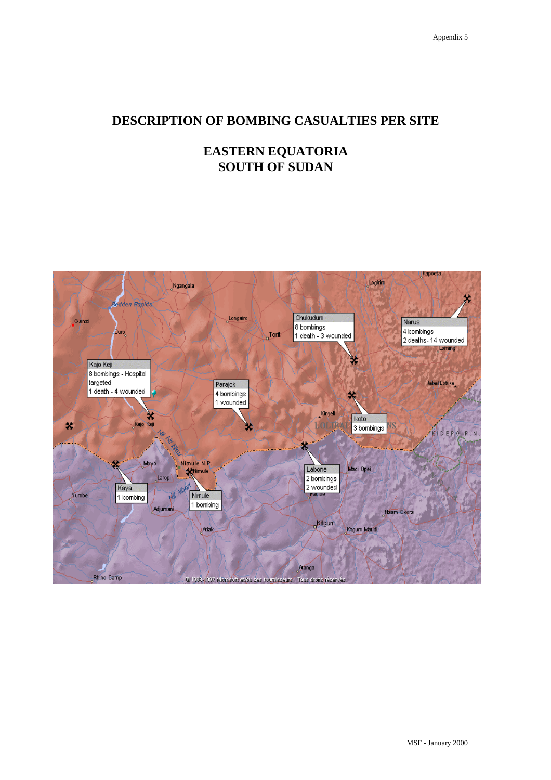# **DESCRIPTION OF BOMBING CASUALTIES PER SITE**

# **EASTERN EQUATORIA SOUTH OF SUDAN**